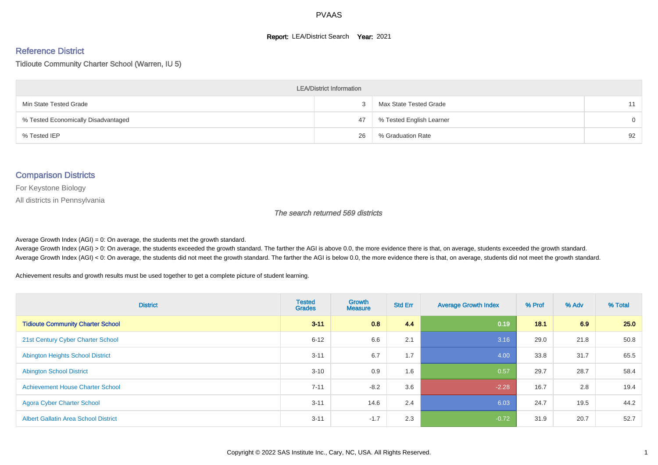#### **Report: LEA/District Search Year: 2021**

# Reference District

Tidioute Community Charter School (Warren, IU 5)

| <b>LEA/District Information</b>     |    |                          |          |  |  |  |  |  |  |  |
|-------------------------------------|----|--------------------------|----------|--|--|--|--|--|--|--|
| Min State Tested Grade              |    | Max State Tested Grade   | 11       |  |  |  |  |  |  |  |
| % Tested Economically Disadvantaged | 47 | % Tested English Learner | $\Omega$ |  |  |  |  |  |  |  |
| % Tested IEP                        | 26 | % Graduation Rate        | 92       |  |  |  |  |  |  |  |

#### Comparison Districts

For Keystone Biology

All districts in Pennsylvania

The search returned 569 districts

Average Growth Index  $(AGI) = 0$ : On average, the students met the growth standard.

Average Growth Index (AGI) > 0: On average, the students exceeded the growth standard. The farther the AGI is above 0.0, the more evidence there is that, on average, students exceeded the growth standard. Average Growth Index (AGI) < 0: On average, the students did not meet the growth standard. The farther the AGI is below 0.0, the more evidence there is that, on average, students did not meet the growth standard.

Achievement results and growth results must be used together to get a complete picture of student learning.

| <b>District</b>                             | <b>Tested</b><br><b>Grades</b> | <b>Growth</b><br><b>Measure</b> | <b>Std Err</b> | <b>Average Growth Index</b> | % Prof | % Adv | % Total |
|---------------------------------------------|--------------------------------|---------------------------------|----------------|-----------------------------|--------|-------|---------|
| <b>Tidioute Community Charter School</b>    | $3 - 11$                       | 0.8                             | 4.4            | 0.19                        | 18.1   | 6.9   | 25.0    |
| 21st Century Cyber Charter School           | $6 - 12$                       | 6.6                             | 2.1            | 3.16                        | 29.0   | 21.8  | 50.8    |
| <b>Abington Heights School District</b>     | $3 - 11$                       | 6.7                             | 1.7            | 4.00                        | 33.8   | 31.7  | 65.5    |
| <b>Abington School District</b>             | $3 - 10$                       | 0.9                             | 1.6            | 0.57                        | 29.7   | 28.7  | 58.4    |
| <b>Achievement House Charter School</b>     | $7 - 11$                       | $-8.2$                          | 3.6            | $-2.28$                     | 16.7   | 2.8   | 19.4    |
| <b>Agora Cyber Charter School</b>           | $3 - 11$                       | 14.6                            | 2.4            | 6.03                        | 24.7   | 19.5  | 44.2    |
| <b>Albert Gallatin Area School District</b> | $3 - 11$                       | $-1.7$                          | 2.3            | $-0.72$                     | 31.9   | 20.7  | 52.7    |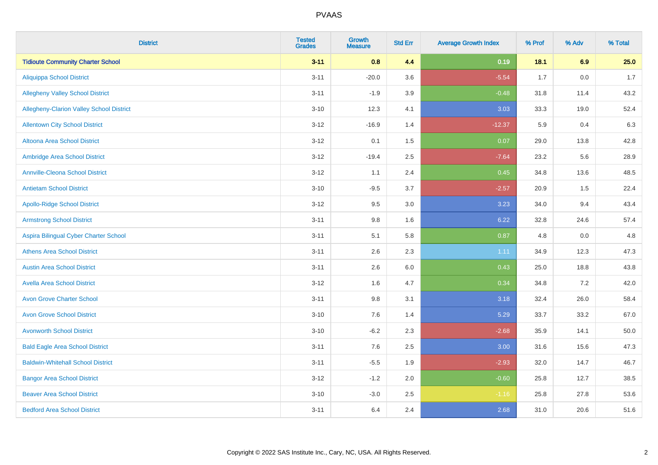| <b>District</b>                          | <b>Tested</b><br><b>Grades</b> | <b>Growth</b><br><b>Measure</b> | <b>Std Err</b> | <b>Average Growth Index</b> | % Prof | % Adv | % Total |
|------------------------------------------|--------------------------------|---------------------------------|----------------|-----------------------------|--------|-------|---------|
| <b>Tidioute Community Charter School</b> | $3 - 11$                       | 0.8                             | 4.4            | 0.19                        | 18.1   | 6.9   | 25.0    |
| <b>Aliquippa School District</b>         | $3 - 11$                       | $-20.0$                         | 3.6            | $-5.54$                     | 1.7    | 0.0   | 1.7     |
| <b>Allegheny Valley School District</b>  | $3 - 11$                       | $-1.9$                          | 3.9            | $-0.48$                     | 31.8   | 11.4  | 43.2    |
| Allegheny-Clarion Valley School District | $3 - 10$                       | 12.3                            | 4.1            | 3.03                        | 33.3   | 19.0  | 52.4    |
| <b>Allentown City School District</b>    | $3 - 12$                       | $-16.9$                         | 1.4            | $-12.37$                    | 5.9    | 0.4   | 6.3     |
| <b>Altoona Area School District</b>      | $3 - 12$                       | 0.1                             | 1.5            | 0.07                        | 29.0   | 13.8  | 42.8    |
| Ambridge Area School District            | $3 - 12$                       | $-19.4$                         | 2.5            | $-7.64$                     | 23.2   | 5.6   | 28.9    |
| <b>Annville-Cleona School District</b>   | $3 - 12$                       | 1.1                             | 2.4            | 0.45                        | 34.8   | 13.6  | 48.5    |
| <b>Antietam School District</b>          | $3 - 10$                       | $-9.5$                          | 3.7            | $-2.57$                     | 20.9   | 1.5   | 22.4    |
| <b>Apollo-Ridge School District</b>      | $3 - 12$                       | 9.5                             | 3.0            | 3.23                        | 34.0   | 9.4   | 43.4    |
| <b>Armstrong School District</b>         | $3 - 11$                       | $9.8\,$                         | 1.6            | 6.22                        | 32.8   | 24.6  | 57.4    |
| Aspira Bilingual Cyber Charter School    | $3 - 11$                       | 5.1                             | 5.8            | 0.87                        | 4.8    | 0.0   | 4.8     |
| <b>Athens Area School District</b>       | $3 - 11$                       | 2.6                             | 2.3            | 1.11                        | 34.9   | 12.3  | 47.3    |
| <b>Austin Area School District</b>       | $3 - 11$                       | 2.6                             | 6.0            | 0.43                        | 25.0   | 18.8  | 43.8    |
| <b>Avella Area School District</b>       | $3 - 12$                       | 1.6                             | 4.7            | 0.34                        | 34.8   | 7.2   | 42.0    |
| <b>Avon Grove Charter School</b>         | $3 - 11$                       | 9.8                             | 3.1            | 3.18                        | 32.4   | 26.0  | 58.4    |
| <b>Avon Grove School District</b>        | $3 - 10$                       | 7.6                             | 1.4            | 5.29                        | 33.7   | 33.2  | 67.0    |
| <b>Avonworth School District</b>         | $3 - 10$                       | $-6.2$                          | 2.3            | $-2.68$                     | 35.9   | 14.1  | 50.0    |
| <b>Bald Eagle Area School District</b>   | $3 - 11$                       | 7.6                             | 2.5            | 3.00                        | 31.6   | 15.6  | 47.3    |
| <b>Baldwin-Whitehall School District</b> | $3 - 11$                       | $-5.5$                          | 1.9            | $-2.93$                     | 32.0   | 14.7  | 46.7    |
| <b>Bangor Area School District</b>       | $3 - 12$                       | $-1.2$                          | 2.0            | $-0.60$                     | 25.8   | 12.7  | 38.5    |
| <b>Beaver Area School District</b>       | $3 - 10$                       | $-3.0$                          | 2.5            | $-1.16$                     | 25.8   | 27.8  | 53.6    |
| <b>Bedford Area School District</b>      | $3 - 11$                       | 6.4                             | 2.4            | 2.68                        | 31.0   | 20.6  | 51.6    |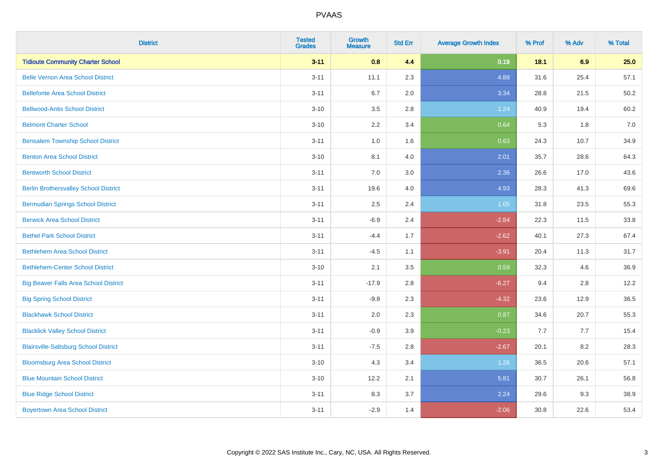| <b>District</b>                              | <b>Tested</b><br><b>Grades</b> | <b>Growth</b><br><b>Measure</b> | <b>Std Err</b> | <b>Average Growth Index</b> | % Prof | % Adv | % Total |
|----------------------------------------------|--------------------------------|---------------------------------|----------------|-----------------------------|--------|-------|---------|
| <b>Tidioute Community Charter School</b>     | $3 - 11$                       | 0.8                             | 4.4            | 0.19                        | 18.1   | 6.9   | 25.0    |
| <b>Belle Vernon Area School District</b>     | $3 - 11$                       | 11.1                            | 2.3            | 4.88                        | 31.6   | 25.4  | 57.1    |
| <b>Bellefonte Area School District</b>       | $3 - 11$                       | 6.7                             | 2.0            | 3.34                        | 28.8   | 21.5  | 50.2    |
| <b>Bellwood-Antis School District</b>        | $3 - 10$                       | 3.5                             | 2.8            | 1.24                        | 40.9   | 19.4  | 60.2    |
| <b>Belmont Charter School</b>                | $3 - 10$                       | 2.2                             | 3.4            | 0.64                        | 5.3    | 1.8   | 7.0     |
| <b>Bensalem Township School District</b>     | $3 - 11$                       | $1.0\,$                         | 1.6            | 0.63                        | 24.3   | 10.7  | 34.9    |
| <b>Benton Area School District</b>           | $3 - 10$                       | 8.1                             | 4.0            | 2.01                        | 35.7   | 28.6  | 64.3    |
| <b>Bentworth School District</b>             | $3 - 11$                       | 7.0                             | 3.0            | 2.36                        | 26.6   | 17.0  | 43.6    |
| <b>Berlin Brothersvalley School District</b> | $3 - 11$                       | 19.6                            | 4.0            | 4.93                        | 28.3   | 41.3  | 69.6    |
| <b>Bermudian Springs School District</b>     | $3 - 11$                       | 2.5                             | 2.4            | 1.05                        | 31.8   | 23.5  | 55.3    |
| <b>Berwick Area School District</b>          | $3 - 11$                       | $-6.9$                          | 2.4            | $-2.84$                     | 22.3   | 11.5  | 33.8    |
| <b>Bethel Park School District</b>           | $3 - 11$                       | $-4.4$                          | 1.7            | $-2.62$                     | 40.1   | 27.3  | 67.4    |
| <b>Bethlehem Area School District</b>        | $3 - 11$                       | $-4.5$                          | 1.1            | $-3.91$                     | 20.4   | 11.3  | 31.7    |
| <b>Bethlehem-Center School District</b>      | $3 - 10$                       | 2.1                             | 3.5            | 0.59                        | 32.3   | 4.6   | 36.9    |
| <b>Big Beaver Falls Area School District</b> | $3 - 11$                       | $-17.9$                         | 2.8            | $-6.27$                     | 9.4    | 2.8   | 12.2    |
| <b>Big Spring School District</b>            | $3 - 11$                       | $-9.8$                          | 2.3            | $-4.32$                     | 23.6   | 12.9  | 36.5    |
| <b>Blackhawk School District</b>             | $3 - 11$                       | 2.0                             | 2.3            | 0.87                        | 34.6   | 20.7  | 55.3    |
| <b>Blacklick Valley School District</b>      | $3 - 11$                       | $-0.9$                          | 3.9            | $-0.23$                     | 7.7    | 7.7   | 15.4    |
| <b>Blairsville-Saltsburg School District</b> | $3 - 11$                       | $-7.5$                          | 2.8            | $-2.67$                     | 20.1   | 8.2   | 28.3    |
| <b>Bloomsburg Area School District</b>       | $3 - 10$                       | 4.3                             | 3.4            | 1.26                        | 36.5   | 20.6  | 57.1    |
| <b>Blue Mountain School District</b>         | $3 - 10$                       | 12.2                            | 2.1            | 5.81                        | 30.7   | 26.1  | 56.8    |
| <b>Blue Ridge School District</b>            | $3 - 11$                       | 8.3                             | 3.7            | 2.24                        | 29.6   | 9.3   | 38.9    |
| <b>Boyertown Area School District</b>        | $3 - 11$                       | $-2.9$                          | 1.4            | $-2.06$                     | 30.8   | 22.6  | 53.4    |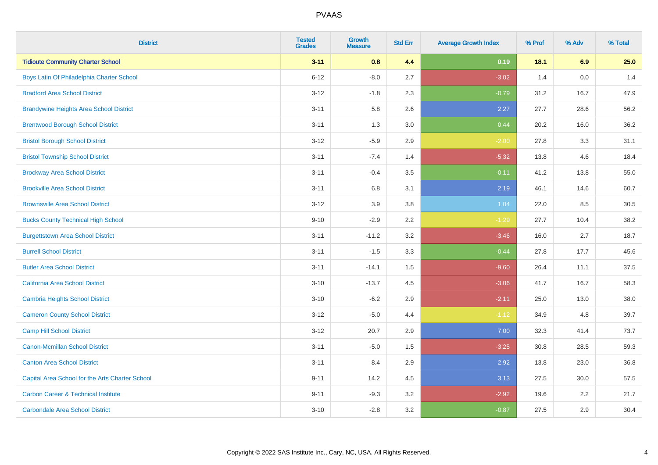| <b>District</b>                                 | <b>Tested</b><br><b>Grades</b> | <b>Growth</b><br><b>Measure</b> | <b>Std Err</b> | <b>Average Growth Index</b> | % Prof | % Adv | % Total |
|-------------------------------------------------|--------------------------------|---------------------------------|----------------|-----------------------------|--------|-------|---------|
| <b>Tidioute Community Charter School</b>        | $3 - 11$                       | 0.8                             | 4.4            | 0.19                        | 18.1   | 6.9   | 25.0    |
| Boys Latin Of Philadelphia Charter School       | $6 - 12$                       | $-8.0$                          | 2.7            | $-3.02$                     | 1.4    | 0.0   | 1.4     |
| <b>Bradford Area School District</b>            | $3 - 12$                       | $-1.8$                          | 2.3            | $-0.79$                     | 31.2   | 16.7  | 47.9    |
| <b>Brandywine Heights Area School District</b>  | $3 - 11$                       | 5.8                             | 2.6            | 2.27                        | 27.7   | 28.6  | 56.2    |
| <b>Brentwood Borough School District</b>        | $3 - 11$                       | 1.3                             | 3.0            | 0.44                        | 20.2   | 16.0  | 36.2    |
| <b>Bristol Borough School District</b>          | $3 - 12$                       | $-5.9$                          | 2.9            | $-2.00$                     | 27.8   | 3.3   | 31.1    |
| <b>Bristol Township School District</b>         | $3 - 11$                       | $-7.4$                          | 1.4            | $-5.32$                     | 13.8   | 4.6   | 18.4    |
| <b>Brockway Area School District</b>            | $3 - 11$                       | $-0.4$                          | 3.5            | $-0.11$                     | 41.2   | 13.8  | 55.0    |
| <b>Brookville Area School District</b>          | $3 - 11$                       | 6.8                             | 3.1            | 2.19                        | 46.1   | 14.6  | 60.7    |
| <b>Brownsville Area School District</b>         | $3 - 12$                       | 3.9                             | 3.8            | 1.04                        | 22.0   | 8.5   | 30.5    |
| <b>Bucks County Technical High School</b>       | $9 - 10$                       | $-2.9$                          | 2.2            | $-1.29$                     | 27.7   | 10.4  | 38.2    |
| <b>Burgettstown Area School District</b>        | $3 - 11$                       | $-11.2$                         | 3.2            | $-3.46$                     | 16.0   | 2.7   | 18.7    |
| <b>Burrell School District</b>                  | $3 - 11$                       | $-1.5$                          | 3.3            | $-0.44$                     | 27.8   | 17.7  | 45.6    |
| <b>Butler Area School District</b>              | $3 - 11$                       | $-14.1$                         | $1.5$          | $-9.60$                     | 26.4   | 11.1  | 37.5    |
| <b>California Area School District</b>          | $3 - 10$                       | $-13.7$                         | 4.5            | $-3.06$                     | 41.7   | 16.7  | 58.3    |
| <b>Cambria Heights School District</b>          | $3 - 10$                       | $-6.2$                          | 2.9            | $-2.11$                     | 25.0   | 13.0  | 38.0    |
| <b>Cameron County School District</b>           | $3 - 12$                       | $-5.0$                          | 4.4            | $-1.12$                     | 34.9   | 4.8   | 39.7    |
| <b>Camp Hill School District</b>                | $3 - 12$                       | 20.7                            | 2.9            | 7.00                        | 32.3   | 41.4  | 73.7    |
| <b>Canon-Mcmillan School District</b>           | $3 - 11$                       | $-5.0$                          | $1.5$          | $-3.25$                     | 30.8   | 28.5  | 59.3    |
| <b>Canton Area School District</b>              | $3 - 11$                       | 8.4                             | 2.9            | 2.92                        | 13.8   | 23.0  | 36.8    |
| Capital Area School for the Arts Charter School | $9 - 11$                       | 14.2                            | 4.5            | 3.13                        | 27.5   | 30.0  | 57.5    |
| <b>Carbon Career &amp; Technical Institute</b>  | $9 - 11$                       | $-9.3$                          | 3.2            | $-2.92$                     | 19.6   | 2.2   | 21.7    |
| <b>Carbondale Area School District</b>          | $3 - 10$                       | $-2.8$                          | 3.2            | $-0.87$                     | 27.5   | 2.9   | 30.4    |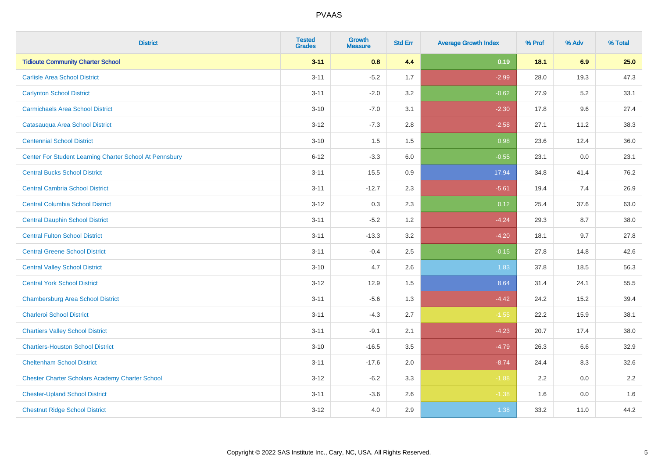| <b>District</b>                                         | <b>Tested</b><br><b>Grades</b> | <b>Growth</b><br><b>Measure</b> | <b>Std Err</b> | <b>Average Growth Index</b> | % Prof | % Adv | % Total |
|---------------------------------------------------------|--------------------------------|---------------------------------|----------------|-----------------------------|--------|-------|---------|
| <b>Tidioute Community Charter School</b>                | $3 - 11$                       | 0.8                             | 4.4            | 0.19                        | 18.1   | 6.9   | 25.0    |
| <b>Carlisle Area School District</b>                    | $3 - 11$                       | $-5.2$                          | 1.7            | $-2.99$                     | 28.0   | 19.3  | 47.3    |
| <b>Carlynton School District</b>                        | $3 - 11$                       | $-2.0$                          | 3.2            | $-0.62$                     | 27.9   | 5.2   | 33.1    |
| <b>Carmichaels Area School District</b>                 | $3 - 10$                       | $-7.0$                          | 3.1            | $-2.30$                     | 17.8   | 9.6   | 27.4    |
| Catasauqua Area School District                         | $3-12$                         | $-7.3$                          | 2.8            | $-2.58$                     | 27.1   | 11.2  | 38.3    |
| <b>Centennial School District</b>                       | $3 - 10$                       | 1.5                             | 1.5            | 0.98                        | 23.6   | 12.4  | 36.0    |
| Center For Student Learning Charter School At Pennsbury | $6 - 12$                       | $-3.3$                          | 6.0            | $-0.55$                     | 23.1   | 0.0   | 23.1    |
| <b>Central Bucks School District</b>                    | $3 - 11$                       | 15.5                            | 0.9            | 17.94                       | 34.8   | 41.4  | 76.2    |
| <b>Central Cambria School District</b>                  | $3 - 11$                       | $-12.7$                         | 2.3            | $-5.61$                     | 19.4   | 7.4   | 26.9    |
| <b>Central Columbia School District</b>                 | $3-12$                         | 0.3                             | 2.3            | 0.12                        | 25.4   | 37.6  | 63.0    |
| <b>Central Dauphin School District</b>                  | $3 - 11$                       | $-5.2$                          | 1.2            | $-4.24$                     | 29.3   | 8.7   | 38.0    |
| <b>Central Fulton School District</b>                   | $3 - 11$                       | $-13.3$                         | 3.2            | $-4.20$                     | 18.1   | 9.7   | 27.8    |
| <b>Central Greene School District</b>                   | $3 - 11$                       | $-0.4$                          | 2.5            | $-0.15$                     | 27.8   | 14.8  | 42.6    |
| <b>Central Valley School District</b>                   | $3 - 10$                       | 4.7                             | 2.6            | 1.83                        | 37.8   | 18.5  | 56.3    |
| <b>Central York School District</b>                     | $3-12$                         | 12.9                            | 1.5            | 8.64                        | 31.4   | 24.1  | 55.5    |
| <b>Chambersburg Area School District</b>                | $3 - 11$                       | $-5.6$                          | 1.3            | $-4.42$                     | 24.2   | 15.2  | 39.4    |
| <b>Charleroi School District</b>                        | $3 - 11$                       | $-4.3$                          | 2.7            | $-1.55$                     | 22.2   | 15.9  | 38.1    |
| <b>Chartiers Valley School District</b>                 | $3 - 11$                       | $-9.1$                          | 2.1            | $-4.23$                     | 20.7   | 17.4  | 38.0    |
| <b>Chartiers-Houston School District</b>                | $3 - 10$                       | $-16.5$                         | 3.5            | $-4.79$                     | 26.3   | 6.6   | 32.9    |
| <b>Cheltenham School District</b>                       | $3 - 11$                       | $-17.6$                         | 2.0            | $-8.74$                     | 24.4   | 8.3   | 32.6    |
| <b>Chester Charter Scholars Academy Charter School</b>  | $3 - 12$                       | $-6.2$                          | 3.3            | $-1.88$                     | 2.2    | 0.0   | 2.2     |
| <b>Chester-Upland School District</b>                   | $3 - 11$                       | $-3.6$                          | 2.6            | $-1.38$                     | 1.6    | 0.0   | 1.6     |
| <b>Chestnut Ridge School District</b>                   | $3 - 12$                       | 4.0                             | 2.9            | 1.38                        | 33.2   | 11.0  | 44.2    |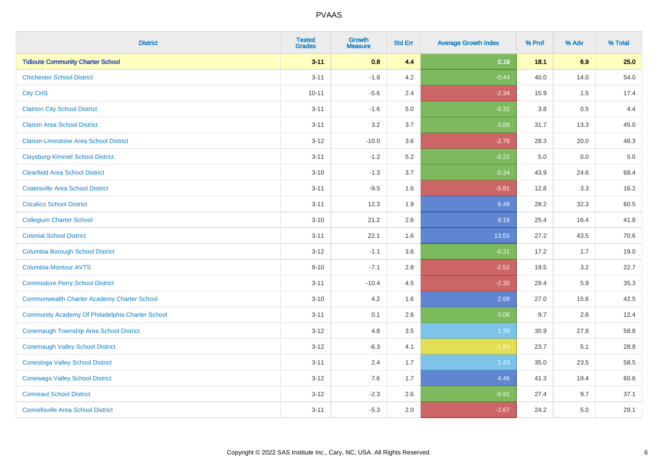| <b>District</b>                                    | <b>Tested</b><br><b>Grades</b> | <b>Growth</b><br><b>Measure</b> | <b>Std Err</b> | <b>Average Growth Index</b> | % Prof  | % Adv | % Total |
|----------------------------------------------------|--------------------------------|---------------------------------|----------------|-----------------------------|---------|-------|---------|
| <b>Tidioute Community Charter School</b>           | $3 - 11$                       | 0.8                             | 4.4            | 0.19                        | 18.1    | 6.9   | 25.0    |
| <b>Chichester School District</b>                  | $3 - 11$                       | $-1.8$                          | 4.2            | $-0.44$                     | 40.0    | 14.0  | 54.0    |
| <b>City CHS</b>                                    | $10 - 11$                      | $-5.6$                          | 2.4            | $-2.34$                     | 15.9    | 1.5   | 17.4    |
| <b>Clairton City School District</b>               | $3 - 11$                       | $-1.6$                          | 5.0            | $-0.32$                     | $3.8\,$ | 0.5   | 4.4     |
| <b>Clarion Area School District</b>                | $3 - 11$                       | 3.2                             | 3.7            | 0.88                        | 31.7    | 13.3  | 45.0    |
| <b>Clarion-Limestone Area School District</b>      | $3 - 12$                       | $-10.0$                         | 3.6            | $-2.76$                     | 28.3    | 20.0  | 48.3    |
| <b>Claysburg-Kimmel School District</b>            | $3 - 11$                       | $-1.2$                          | 5.2            | $-0.22$                     | 5.0     | 0.0   | $5.0$   |
| <b>Clearfield Area School District</b>             | $3 - 10$                       | $-1.3$                          | 3.7            | $-0.34$                     | 43.9    | 24.6  | 68.4    |
| <b>Coatesville Area School District</b>            | $3 - 11$                       | $-9.5$                          | 1.6            | $-5.81$                     | 12.8    | 3.3   | 16.2    |
| <b>Cocalico School District</b>                    | $3 - 11$                       | 12.3                            | 1.9            | 6.48                        | 28.2    | 32.3  | 60.5    |
| <b>Collegium Charter School</b>                    | $3 - 10$                       | 21.2                            | 2.6            | 8.18                        | 25.4    | 16.4  | 41.8    |
| <b>Colonial School District</b>                    | $3 - 11$                       | 22.1                            | 1.6            | 13.55                       | 27.2    | 43.5  | 70.6    |
| <b>Columbia Borough School District</b>            | $3 - 12$                       | $-1.1$                          | 3.6            | $-0.31$                     | 17.2    | 1.7   | 19.0    |
| Columbia-Montour AVTS                              | $9 - 10$                       | $-7.1$                          | 2.8            | $-2.52$                     | 19.5    | 3.2   | 22.7    |
| <b>Commodore Perry School District</b>             | $3 - 11$                       | $-10.4$                         | 4.5            | $-2.30$                     | 29.4    | 5.9   | 35.3    |
| <b>Commonwealth Charter Academy Charter School</b> | $3 - 10$                       | 4.2                             | 1.6            | 2.68                        | 27.0    | 15.6  | 42.5    |
| Community Academy Of Philadelphia Charter School   | $3 - 11$                       | 0.1                             | 2.6            | 0.06                        | 9.7     | 2.6   | 12.4    |
| Conemaugh Township Area School District            | $3 - 12$                       | 4.8                             | 3.5            | 1.39                        | 30.9    | 27.8  | 58.8    |
| <b>Conemaugh Valley School District</b>            | $3 - 12$                       | $-6.3$                          | 4.1            | $-1.54$                     | 23.7    | 5.1   | 28.8    |
| <b>Conestoga Valley School District</b>            | $3 - 11$                       | 2.4                             | 1.7            | 1.43                        | 35.0    | 23.5  | 58.5    |
| <b>Conewago Valley School District</b>             | $3 - 12$                       | 7.6                             | 1.7            | 4.46                        | 41.3    | 19.4  | 60.6    |
| <b>Conneaut School District</b>                    | $3 - 12$                       | $-2.3$                          | 2.6            | $-0.91$                     | 27.4    | 9.7   | 37.1    |
| <b>Connellsville Area School District</b>          | $3 - 11$                       | $-5.3$                          | 2.0            | $-2.67$                     | 24.2    | 5.0   | 29.1    |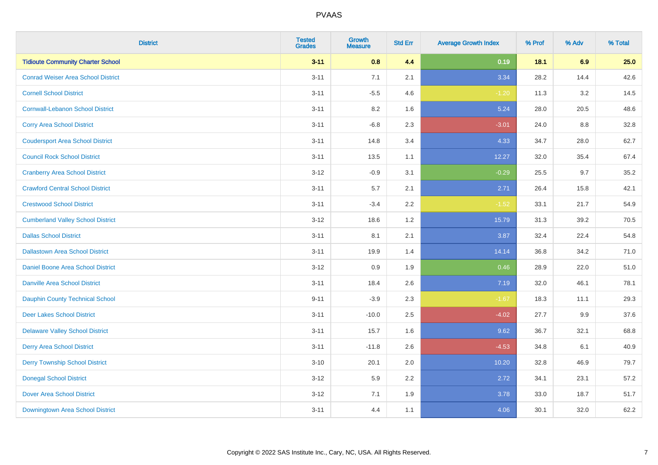| <b>District</b>                           | <b>Tested</b><br><b>Grades</b> | <b>Growth</b><br><b>Measure</b> | <b>Std Err</b> | <b>Average Growth Index</b> | % Prof | % Adv | % Total |
|-------------------------------------------|--------------------------------|---------------------------------|----------------|-----------------------------|--------|-------|---------|
| <b>Tidioute Community Charter School</b>  | $3 - 11$                       | 0.8                             | 4.4            | 0.19                        | 18.1   | 6.9   | 25.0    |
| <b>Conrad Weiser Area School District</b> | $3 - 11$                       | 7.1                             | 2.1            | 3.34                        | 28.2   | 14.4  | 42.6    |
| <b>Cornell School District</b>            | $3 - 11$                       | $-5.5$                          | 4.6            | $-1.20$                     | 11.3   | 3.2   | 14.5    |
| <b>Cornwall-Lebanon School District</b>   | $3 - 11$                       | 8.2                             | 1.6            | 5.24                        | 28.0   | 20.5  | 48.6    |
| <b>Corry Area School District</b>         | $3 - 11$                       | $-6.8$                          | 2.3            | $-3.01$                     | 24.0   | 8.8   | 32.8    |
| <b>Coudersport Area School District</b>   | $3 - 11$                       | 14.8                            | 3.4            | 4.33                        | 34.7   | 28.0  | 62.7    |
| <b>Council Rock School District</b>       | $3 - 11$                       | 13.5                            | 1.1            | 12.27                       | 32.0   | 35.4  | 67.4    |
| <b>Cranberry Area School District</b>     | $3 - 12$                       | $-0.9$                          | 3.1            | $-0.29$                     | 25.5   | 9.7   | 35.2    |
| <b>Crawford Central School District</b>   | $3 - 11$                       | 5.7                             | 2.1            | 2.71                        | 26.4   | 15.8  | 42.1    |
| <b>Crestwood School District</b>          | $3 - 11$                       | $-3.4$                          | 2.2            | $-1.52$                     | 33.1   | 21.7  | 54.9    |
| <b>Cumberland Valley School District</b>  | $3 - 12$                       | 18.6                            | 1.2            | 15.79                       | 31.3   | 39.2  | 70.5    |
| <b>Dallas School District</b>             | $3 - 11$                       | 8.1                             | 2.1            | 3.87                        | 32.4   | 22.4  | 54.8    |
| <b>Dallastown Area School District</b>    | $3 - 11$                       | 19.9                            | 1.4            | 14.14                       | 36.8   | 34.2  | 71.0    |
| <b>Daniel Boone Area School District</b>  | $3 - 12$                       | 0.9                             | 1.9            | 0.46                        | 28.9   | 22.0  | 51.0    |
| <b>Danville Area School District</b>      | $3 - 11$                       | 18.4                            | 2.6            | 7.19                        | 32.0   | 46.1  | 78.1    |
| <b>Dauphin County Technical School</b>    | $9 - 11$                       | $-3.9$                          | 2.3            | $-1.67$                     | 18.3   | 11.1  | 29.3    |
| <b>Deer Lakes School District</b>         | $3 - 11$                       | $-10.0$                         | 2.5            | $-4.02$                     | 27.7   | 9.9   | 37.6    |
| <b>Delaware Valley School District</b>    | $3 - 11$                       | 15.7                            | 1.6            | 9.62                        | 36.7   | 32.1  | 68.8    |
| <b>Derry Area School District</b>         | $3 - 11$                       | $-11.8$                         | 2.6            | $-4.53$                     | 34.8   | 6.1   | 40.9    |
| <b>Derry Township School District</b>     | $3 - 10$                       | 20.1                            | 2.0            | 10.20                       | 32.8   | 46.9  | 79.7    |
| <b>Donegal School District</b>            | $3 - 12$                       | 5.9                             | 2.2            | 2.72                        | 34.1   | 23.1  | 57.2    |
| <b>Dover Area School District</b>         | $3 - 12$                       | 7.1                             | 1.9            | 3.78                        | 33.0   | 18.7  | 51.7    |
| Downingtown Area School District          | $3 - 11$                       | 4.4                             | 1.1            | 4.06                        | 30.1   | 32.0  | 62.2    |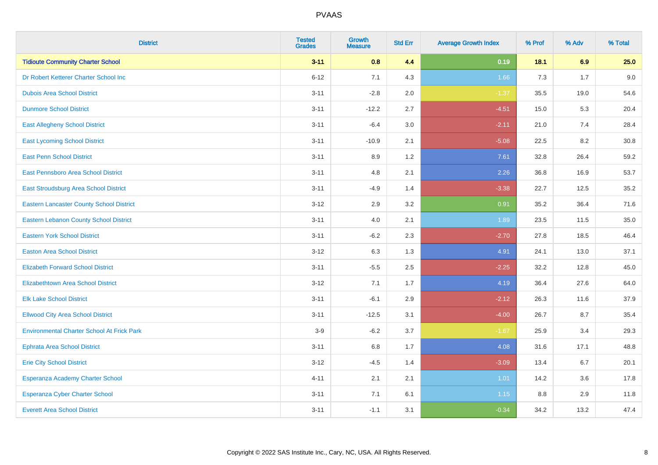| <b>District</b>                                   | <b>Tested</b><br><b>Grades</b> | <b>Growth</b><br><b>Measure</b> | <b>Std Err</b> | <b>Average Growth Index</b> | % Prof | % Adv | % Total |
|---------------------------------------------------|--------------------------------|---------------------------------|----------------|-----------------------------|--------|-------|---------|
| <b>Tidioute Community Charter School</b>          | $3 - 11$                       | 0.8                             | 4.4            | 0.19                        | 18.1   | 6.9   | 25.0    |
| Dr Robert Ketterer Charter School Inc             | $6 - 12$                       | 7.1                             | 4.3            | 1.66                        | 7.3    | 1.7   | 9.0     |
| <b>Dubois Area School District</b>                | $3 - 11$                       | $-2.8$                          | 2.0            | $-1.37$                     | 35.5   | 19.0  | 54.6    |
| <b>Dunmore School District</b>                    | $3 - 11$                       | $-12.2$                         | 2.7            | $-4.51$                     | 15.0   | 5.3   | 20.4    |
| <b>East Allegheny School District</b>             | $3 - 11$                       | $-6.4$                          | 3.0            | $-2.11$                     | 21.0   | 7.4   | 28.4    |
| <b>East Lycoming School District</b>              | $3 - 11$                       | $-10.9$                         | 2.1            | $-5.08$                     | 22.5   | 8.2   | 30.8    |
| <b>East Penn School District</b>                  | $3 - 11$                       | 8.9                             | 1.2            | 7.61                        | 32.8   | 26.4  | 59.2    |
| East Pennsboro Area School District               | $3 - 11$                       | 4.8                             | 2.1            | 2.26                        | 36.8   | 16.9  | 53.7    |
| East Stroudsburg Area School District             | $3 - 11$                       | $-4.9$                          | 1.4            | $-3.38$                     | 22.7   | 12.5  | 35.2    |
| <b>Eastern Lancaster County School District</b>   | $3 - 12$                       | 2.9                             | 3.2            | 0.91                        | 35.2   | 36.4  | 71.6    |
| Eastern Lebanon County School District            | $3 - 11$                       | 4.0                             | 2.1            | 1.89                        | 23.5   | 11.5  | 35.0    |
| <b>Eastern York School District</b>               | $3 - 11$                       | $-6.2$                          | 2.3            | $-2.70$                     | 27.8   | 18.5  | 46.4    |
| <b>Easton Area School District</b>                | $3-12$                         | 6.3                             | 1.3            | 4.91                        | 24.1   | 13.0  | 37.1    |
| <b>Elizabeth Forward School District</b>          | $3 - 11$                       | $-5.5$                          | 2.5            | $-2.25$                     | 32.2   | 12.8  | 45.0    |
| <b>Elizabethtown Area School District</b>         | $3 - 12$                       | 7.1                             | 1.7            | 4.19                        | 36.4   | 27.6  | 64.0    |
| <b>Elk Lake School District</b>                   | $3 - 11$                       | $-6.1$                          | 2.9            | $-2.12$                     | 26.3   | 11.6  | 37.9    |
| <b>Ellwood City Area School District</b>          | $3 - 11$                       | $-12.5$                         | 3.1            | $-4.00$                     | 26.7   | 8.7   | 35.4    |
| <b>Environmental Charter School At Frick Park</b> | $3-9$                          | $-6.2$                          | 3.7            | $-1.67$                     | 25.9   | 3.4   | 29.3    |
| <b>Ephrata Area School District</b>               | $3 - 11$                       | $6.8\,$                         | 1.7            | 4.08                        | 31.6   | 17.1  | 48.8    |
| <b>Erie City School District</b>                  | $3 - 12$                       | $-4.5$                          | 1.4            | $-3.09$                     | 13.4   | 6.7   | 20.1    |
| Esperanza Academy Charter School                  | $4 - 11$                       | 2.1                             | 2.1            | 1.01                        | 14.2   | 3.6   | 17.8    |
| <b>Esperanza Cyber Charter School</b>             | $3 - 11$                       | 7.1                             | 6.1            | 1.15                        | 8.8    | 2.9   | 11.8    |
| <b>Everett Area School District</b>               | $3 - 11$                       | $-1.1$                          | 3.1            | $-0.34$                     | 34.2   | 13.2  | 47.4    |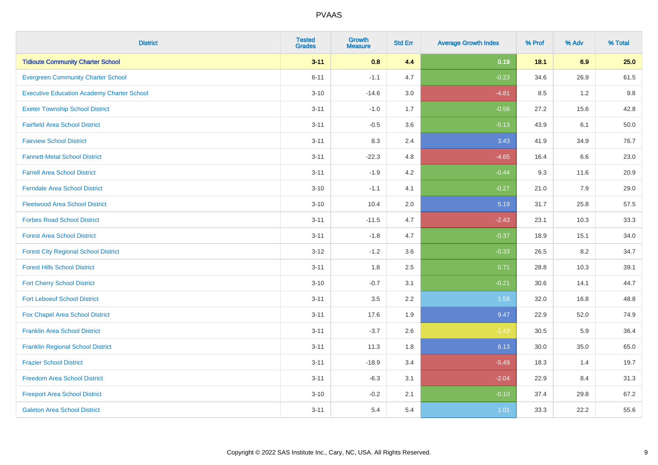| <b>District</b>                                   | <b>Tested</b><br><b>Grades</b> | <b>Growth</b><br><b>Measure</b> | <b>Std Err</b> | <b>Average Growth Index</b> | % Prof | % Adv | % Total |
|---------------------------------------------------|--------------------------------|---------------------------------|----------------|-----------------------------|--------|-------|---------|
| <b>Tidioute Community Charter School</b>          | $3 - 11$                       | 0.8                             | 4.4            | 0.19                        | 18.1   | 6.9   | 25.0    |
| <b>Evergreen Community Charter School</b>         | $6 - 11$                       | $-1.1$                          | 4.7            | $-0.23$                     | 34.6   | 26.9  | 61.5    |
| <b>Executive Education Academy Charter School</b> | $3 - 10$                       | $-14.6$                         | 3.0            | $-4.81$                     | 8.5    | 1.2   | 9.8     |
| <b>Exeter Township School District</b>            | $3 - 11$                       | $-1.0$                          | 1.7            | $-0.58$                     | 27.2   | 15.6  | 42.8    |
| <b>Fairfield Area School District</b>             | $3 - 11$                       | $-0.5$                          | 3.6            | $-0.13$                     | 43.9   | 6.1   | 50.0    |
| <b>Fairview School District</b>                   | $3 - 11$                       | 8.3                             | 2.4            | 3.43                        | 41.9   | 34.9  | 76.7    |
| <b>Fannett-Metal School District</b>              | $3 - 11$                       | $-22.3$                         | 4.8            | $-4.65$                     | 16.4   | 6.6   | 23.0    |
| <b>Farrell Area School District</b>               | $3 - 11$                       | $-1.9$                          | 4.2            | $-0.44$                     | 9.3    | 11.6  | 20.9    |
| <b>Ferndale Area School District</b>              | $3 - 10$                       | $-1.1$                          | 4.1            | $-0.27$                     | 21.0   | 7.9   | 29.0    |
| <b>Fleetwood Area School District</b>             | $3 - 10$                       | 10.4                            | 2.0            | 5.19                        | 31.7   | 25.8  | 57.5    |
| <b>Forbes Road School District</b>                | $3 - 11$                       | $-11.5$                         | 4.7            | $-2.43$                     | 23.1   | 10.3  | 33.3    |
| <b>Forest Area School District</b>                | $3 - 11$                       | $-1.8$                          | 4.7            | $-0.37$                     | 18.9   | 15.1  | 34.0    |
| <b>Forest City Regional School District</b>       | $3 - 12$                       | $-1.2$                          | 3.6            | $-0.33$                     | 26.5   | 8.2   | 34.7    |
| <b>Forest Hills School District</b>               | $3 - 11$                       | 1.8                             | 2.5            | 0.71                        | 28.8   | 10.3  | 39.1    |
| <b>Fort Cherry School District</b>                | $3 - 10$                       | $-0.7$                          | 3.1            | $-0.21$                     | 30.6   | 14.1  | 44.7    |
| <b>Fort Leboeuf School District</b>               | $3 - 11$                       | 3.5                             | 2.2            | 1.58                        | 32.0   | 16.8  | 48.8    |
| Fox Chapel Area School District                   | $3 - 11$                       | 17.6                            | 1.9            | 9.47                        | 22.9   | 52.0  | 74.9    |
| <b>Franklin Area School District</b>              | $3 - 11$                       | $-3.7$                          | 2.6            | $-1.43$                     | 30.5   | 5.9   | 36.4    |
| <b>Franklin Regional School District</b>          | $3 - 11$                       | 11.3                            | 1.8            | 6.13                        | 30.0   | 35.0  | 65.0    |
| <b>Frazier School District</b>                    | $3 - 11$                       | $-18.9$                         | 3.4            | $-5.49$                     | 18.3   | 1.4   | 19.7    |
| <b>Freedom Area School District</b>               | $3 - 11$                       | $-6.3$                          | 3.1            | $-2.04$                     | 22.9   | 8.4   | 31.3    |
| <b>Freeport Area School District</b>              | $3 - 10$                       | $-0.2$                          | 2.1            | $-0.10$                     | 37.4   | 29.8  | 67.2    |
| <b>Galeton Area School District</b>               | $3 - 11$                       | 5.4                             | 5.4            | 1.01                        | 33.3   | 22.2  | 55.6    |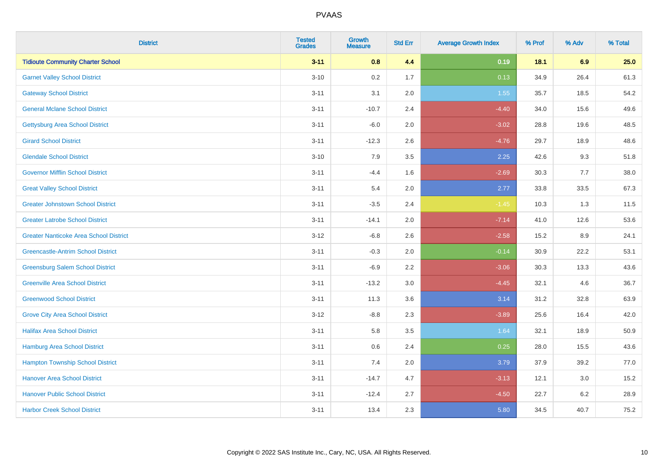| <b>District</b>                               | <b>Tested</b><br><b>Grades</b> | <b>Growth</b><br><b>Measure</b> | <b>Std Err</b> | <b>Average Growth Index</b> | % Prof | % Adv | % Total |
|-----------------------------------------------|--------------------------------|---------------------------------|----------------|-----------------------------|--------|-------|---------|
| <b>Tidioute Community Charter School</b>      | $3 - 11$                       | 0.8                             | 4.4            | 0.19                        | 18.1   | 6.9   | 25.0    |
| <b>Garnet Valley School District</b>          | $3 - 10$                       | 0.2                             | 1.7            | 0.13                        | 34.9   | 26.4  | 61.3    |
| <b>Gateway School District</b>                | $3 - 11$                       | 3.1                             | 2.0            | 1.55                        | 35.7   | 18.5  | 54.2    |
| <b>General Mclane School District</b>         | $3 - 11$                       | $-10.7$                         | 2.4            | $-4.40$                     | 34.0   | 15.6  | 49.6    |
| <b>Gettysburg Area School District</b>        | $3 - 11$                       | $-6.0$                          | 2.0            | $-3.02$                     | 28.8   | 19.6  | 48.5    |
| <b>Girard School District</b>                 | $3 - 11$                       | $-12.3$                         | 2.6            | $-4.76$                     | 29.7   | 18.9  | 48.6    |
| <b>Glendale School District</b>               | $3 - 10$                       | 7.9                             | 3.5            | 2.25                        | 42.6   | 9.3   | 51.8    |
| <b>Governor Mifflin School District</b>       | $3 - 11$                       | $-4.4$                          | 1.6            | $-2.69$                     | 30.3   | 7.7   | 38.0    |
| <b>Great Valley School District</b>           | $3 - 11$                       | 5.4                             | 2.0            | 2.77                        | 33.8   | 33.5  | 67.3    |
| <b>Greater Johnstown School District</b>      | $3 - 11$                       | $-3.5$                          | 2.4            | $-1.45$                     | 10.3   | 1.3   | 11.5    |
| <b>Greater Latrobe School District</b>        | $3 - 11$                       | $-14.1$                         | 2.0            | $-7.14$                     | 41.0   | 12.6  | 53.6    |
| <b>Greater Nanticoke Area School District</b> | $3-12$                         | $-6.8$                          | 2.6            | $-2.58$                     | 15.2   | 8.9   | 24.1    |
| <b>Greencastle-Antrim School District</b>     | $3 - 11$                       | $-0.3$                          | 2.0            | $-0.14$                     | 30.9   | 22.2  | 53.1    |
| <b>Greensburg Salem School District</b>       | $3 - 11$                       | $-6.9$                          | 2.2            | $-3.06$                     | 30.3   | 13.3  | 43.6    |
| <b>Greenville Area School District</b>        | $3 - 11$                       | $-13.2$                         | 3.0            | $-4.45$                     | 32.1   | 4.6   | 36.7    |
| <b>Greenwood School District</b>              | $3 - 11$                       | 11.3                            | 3.6            | 3.14                        | 31.2   | 32.8  | 63.9    |
| <b>Grove City Area School District</b>        | $3 - 12$                       | $-8.8$                          | 2.3            | $-3.89$                     | 25.6   | 16.4  | 42.0    |
| <b>Halifax Area School District</b>           | $3 - 11$                       | 5.8                             | 3.5            | 1.64                        | 32.1   | 18.9  | 50.9    |
| Hamburg Area School District                  | $3 - 11$                       | 0.6                             | 2.4            | 0.25                        | 28.0   | 15.5  | 43.6    |
| <b>Hampton Township School District</b>       | $3 - 11$                       | 7.4                             | 2.0            | 3.79                        | 37.9   | 39.2  | 77.0    |
| <b>Hanover Area School District</b>           | $3 - 11$                       | $-14.7$                         | 4.7            | $-3.13$                     | 12.1   | 3.0   | 15.2    |
| <b>Hanover Public School District</b>         | $3 - 11$                       | $-12.4$                         | 2.7            | $-4.50$                     | 22.7   | 6.2   | 28.9    |
| <b>Harbor Creek School District</b>           | $3 - 11$                       | 13.4                            | 2.3            | 5.80                        | 34.5   | 40.7  | 75.2    |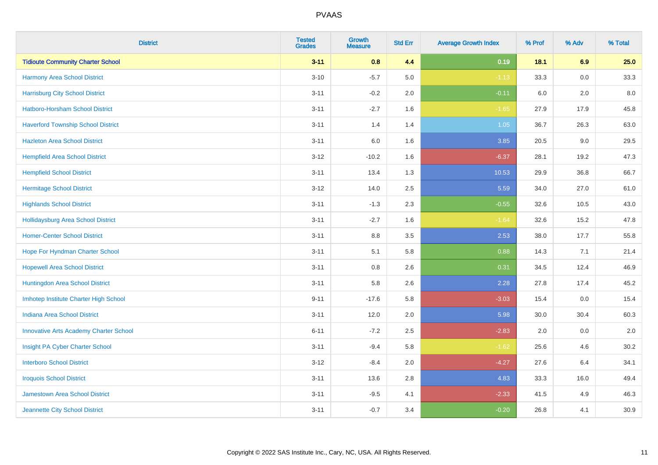| <b>District</b>                               | <b>Tested</b><br><b>Grades</b> | <b>Growth</b><br><b>Measure</b> | <b>Std Err</b> | <b>Average Growth Index</b> | % Prof | % Adv   | % Total |
|-----------------------------------------------|--------------------------------|---------------------------------|----------------|-----------------------------|--------|---------|---------|
| <b>Tidioute Community Charter School</b>      | $3 - 11$                       | 0.8                             | 4.4            | 0.19                        | 18.1   | 6.9     | 25.0    |
| Harmony Area School District                  | $3 - 10$                       | $-5.7$                          | 5.0            | $-1.13$                     | 33.3   | 0.0     | 33.3    |
| <b>Harrisburg City School District</b>        | $3 - 11$                       | $-0.2$                          | 2.0            | $-0.11$                     | 6.0    | 2.0     | 8.0     |
| <b>Hatboro-Horsham School District</b>        | $3 - 11$                       | $-2.7$                          | 1.6            | $-1.65$                     | 27.9   | 17.9    | 45.8    |
| <b>Haverford Township School District</b>     | $3 - 11$                       | 1.4                             | 1.4            | 1.05                        | 36.7   | 26.3    | 63.0    |
| <b>Hazleton Area School District</b>          | $3 - 11$                       | 6.0                             | 1.6            | 3.85                        | 20.5   | 9.0     | 29.5    |
| <b>Hempfield Area School District</b>         | $3 - 12$                       | $-10.2$                         | 1.6            | $-6.37$                     | 28.1   | 19.2    | 47.3    |
| <b>Hempfield School District</b>              | $3 - 11$                       | 13.4                            | 1.3            | 10.53                       | 29.9   | 36.8    | 66.7    |
| <b>Hermitage School District</b>              | $3 - 12$                       | 14.0                            | 2.5            | 5.59                        | 34.0   | 27.0    | 61.0    |
| <b>Highlands School District</b>              | $3 - 11$                       | $-1.3$                          | 2.3            | $-0.55$                     | 32.6   | 10.5    | 43.0    |
| <b>Hollidaysburg Area School District</b>     | $3 - 11$                       | $-2.7$                          | 1.6            | $-1.64$                     | 32.6   | 15.2    | 47.8    |
| <b>Homer-Center School District</b>           | $3 - 11$                       | 8.8                             | 3.5            | 2.53                        | 38.0   | 17.7    | 55.8    |
| Hope For Hyndman Charter School               | $3 - 11$                       | 5.1                             | 5.8            | 0.88                        | 14.3   | 7.1     | 21.4    |
| <b>Hopewell Area School District</b>          | $3 - 11$                       | 0.8                             | 2.6            | 0.31                        | 34.5   | 12.4    | 46.9    |
| Huntingdon Area School District               | $3 - 11$                       | 5.8                             | 2.6            | 2.28                        | 27.8   | 17.4    | 45.2    |
| Imhotep Institute Charter High School         | $9 - 11$                       | $-17.6$                         | 5.8            | $-3.03$                     | 15.4   | $0.0\,$ | 15.4    |
| <b>Indiana Area School District</b>           | $3 - 11$                       | 12.0                            | 2.0            | 5.98                        | 30.0   | 30.4    | 60.3    |
| <b>Innovative Arts Academy Charter School</b> | $6 - 11$                       | $-7.2$                          | 2.5            | $-2.83$                     | 2.0    | 0.0     | 2.0     |
| Insight PA Cyber Charter School               | $3 - 11$                       | $-9.4$                          | 5.8            | $-1.62$                     | 25.6   | 4.6     | 30.2    |
| <b>Interboro School District</b>              | $3 - 12$                       | $-8.4$                          | 2.0            | $-4.27$                     | 27.6   | 6.4     | 34.1    |
| <b>Iroquois School District</b>               | $3 - 11$                       | 13.6                            | 2.8            | 4.83                        | 33.3   | 16.0    | 49.4    |
| Jamestown Area School District                | $3 - 11$                       | $-9.5$                          | 4.1            | $-2.33$                     | 41.5   | 4.9     | 46.3    |
| Jeannette City School District                | $3 - 11$                       | $-0.7$                          | 3.4            | $-0.20$                     | 26.8   | 4.1     | 30.9    |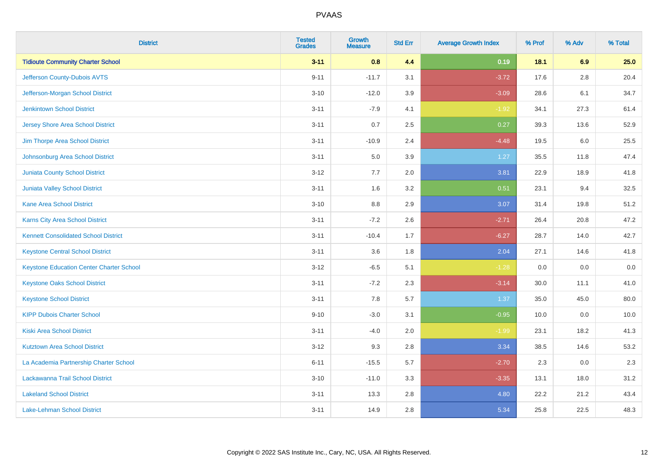| <b>District</b>                                 | <b>Tested</b><br><b>Grades</b> | <b>Growth</b><br><b>Measure</b> | <b>Std Err</b> | <b>Average Growth Index</b> | % Prof | % Adv   | % Total |
|-------------------------------------------------|--------------------------------|---------------------------------|----------------|-----------------------------|--------|---------|---------|
| <b>Tidioute Community Charter School</b>        | $3 - 11$                       | 0.8                             | 4.4            | 0.19                        | 18.1   | 6.9     | 25.0    |
| Jefferson County-Dubois AVTS                    | $9 - 11$                       | $-11.7$                         | 3.1            | $-3.72$                     | 17.6   | $2.8\,$ | 20.4    |
| Jefferson-Morgan School District                | $3 - 10$                       | $-12.0$                         | 3.9            | $-3.09$                     | 28.6   | 6.1     | 34.7    |
| <b>Jenkintown School District</b>               | $3 - 11$                       | $-7.9$                          | 4.1            | $-1.92$                     | 34.1   | 27.3    | 61.4    |
| <b>Jersey Shore Area School District</b>        | $3 - 11$                       | 0.7                             | 2.5            | 0.27                        | 39.3   | 13.6    | 52.9    |
| Jim Thorpe Area School District                 | $3 - 11$                       | $-10.9$                         | 2.4            | $-4.48$                     | 19.5   | 6.0     | 25.5    |
| Johnsonburg Area School District                | $3 - 11$                       | 5.0                             | 3.9            | 1.27                        | 35.5   | 11.8    | 47.4    |
| <b>Juniata County School District</b>           | $3 - 12$                       | 7.7                             | 2.0            | 3.81                        | 22.9   | 18.9    | 41.8    |
| <b>Juniata Valley School District</b>           | $3 - 11$                       | 1.6                             | 3.2            | 0.51                        | 23.1   | 9.4     | 32.5    |
| <b>Kane Area School District</b>                | $3 - 10$                       | 8.8                             | 2.9            | 3.07                        | 31.4   | 19.8    | 51.2    |
| Karns City Area School District                 | $3 - 11$                       | $-7.2$                          | 2.6            | $-2.71$                     | 26.4   | 20.8    | 47.2    |
| <b>Kennett Consolidated School District</b>     | $3 - 11$                       | $-10.4$                         | 1.7            | $-6.27$                     | 28.7   | 14.0    | 42.7    |
| <b>Keystone Central School District</b>         | $3 - 11$                       | 3.6                             | 1.8            | 2.04                        | 27.1   | 14.6    | 41.8    |
| <b>Keystone Education Center Charter School</b> | $3 - 12$                       | $-6.5$                          | 5.1            | $-1.28$                     | 0.0    | 0.0     | $0.0\,$ |
| <b>Keystone Oaks School District</b>            | $3 - 11$                       | $-7.2$                          | 2.3            | $-3.14$                     | 30.0   | 11.1    | 41.0    |
| <b>Keystone School District</b>                 | $3 - 11$                       | 7.8                             | 5.7            | 1.37                        | 35.0   | 45.0    | 80.0    |
| <b>KIPP Dubois Charter School</b>               | $9 - 10$                       | $-3.0$                          | 3.1            | $-0.95$                     | 10.0   | 0.0     | 10.0    |
| <b>Kiski Area School District</b>               | $3 - 11$                       | $-4.0$                          | 2.0            | $-1.99$                     | 23.1   | 18.2    | 41.3    |
| <b>Kutztown Area School District</b>            | $3 - 12$                       | 9.3                             | 2.8            | 3.34                        | 38.5   | 14.6    | 53.2    |
| La Academia Partnership Charter School          | $6 - 11$                       | $-15.5$                         | 5.7            | $-2.70$                     | 2.3    | 0.0     | 2.3     |
| Lackawanna Trail School District                | $3 - 10$                       | $-11.0$                         | 3.3            | $-3.35$                     | 13.1   | 18.0    | 31.2    |
| <b>Lakeland School District</b>                 | $3 - 11$                       | 13.3                            | 2.8            | 4.80                        | 22.2   | 21.2    | 43.4    |
| Lake-Lehman School District                     | $3 - 11$                       | 14.9                            | 2.8            | 5.34                        | 25.8   | 22.5    | 48.3    |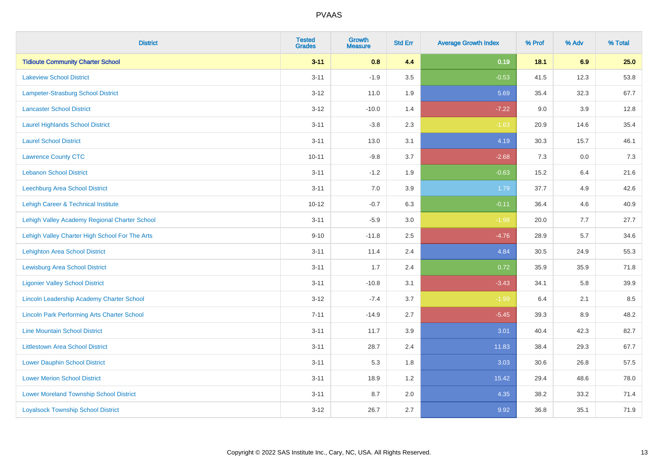| <b>District</b>                                    | <b>Tested</b><br><b>Grades</b> | <b>Growth</b><br><b>Measure</b> | <b>Std Err</b> | <b>Average Growth Index</b> | % Prof | % Adv | % Total |
|----------------------------------------------------|--------------------------------|---------------------------------|----------------|-----------------------------|--------|-------|---------|
| <b>Tidioute Community Charter School</b>           | $3 - 11$                       | 0.8                             | 4.4            | 0.19                        | 18.1   | 6.9   | 25.0    |
| <b>Lakeview School District</b>                    | $3 - 11$                       | $-1.9$                          | 3.5            | $-0.53$                     | 41.5   | 12.3  | 53.8    |
| <b>Lampeter-Strasburg School District</b>          | $3 - 12$                       | 11.0                            | 1.9            | 5.69                        | 35.4   | 32.3  | 67.7    |
| <b>Lancaster School District</b>                   | $3 - 12$                       | $-10.0$                         | 1.4            | $-7.22$                     | 9.0    | 3.9   | 12.8    |
| <b>Laurel Highlands School District</b>            | $3 - 11$                       | $-3.8$                          | 2.3            | $-1.63$                     | 20.9   | 14.6  | 35.4    |
| <b>Laurel School District</b>                      | $3 - 11$                       | 13.0                            | 3.1            | 4.19                        | 30.3   | 15.7  | 46.1    |
| <b>Lawrence County CTC</b>                         | $10 - 11$                      | $-9.8$                          | 3.7            | $-2.68$                     | 7.3    | 0.0   | 7.3     |
| <b>Lebanon School District</b>                     | $3 - 11$                       | $-1.2$                          | 1.9            | $-0.63$                     | 15.2   | 6.4   | 21.6    |
| Leechburg Area School District                     | $3 - 11$                       | 7.0                             | 3.9            | 1.79                        | 37.7   | 4.9   | 42.6    |
| Lehigh Career & Technical Institute                | $10 - 12$                      | $-0.7$                          | 6.3            | $-0.11$                     | 36.4   | 4.6   | 40.9    |
| Lehigh Valley Academy Regional Charter School      | $3 - 11$                       | $-5.9$                          | 3.0            | $-1.98$                     | 20.0   | 7.7   | 27.7    |
| Lehigh Valley Charter High School For The Arts     | $9 - 10$                       | $-11.8$                         | 2.5            | $-4.76$                     | 28.9   | 5.7   | 34.6    |
| <b>Lehighton Area School District</b>              | $3 - 11$                       | 11.4                            | 2.4            | 4.84                        | 30.5   | 24.9  | 55.3    |
| <b>Lewisburg Area School District</b>              | $3 - 11$                       | 1.7                             | 2.4            | 0.72                        | 35.9   | 35.9  | 71.8    |
| <b>Ligonier Valley School District</b>             | $3 - 11$                       | $-10.8$                         | 3.1            | $-3.43$                     | 34.1   | 5.8   | 39.9    |
| <b>Lincoln Leadership Academy Charter School</b>   | $3 - 12$                       | $-7.4$                          | 3.7            | $-1.99$                     | 6.4    | 2.1   | 8.5     |
| <b>Lincoln Park Performing Arts Charter School</b> | $7 - 11$                       | $-14.9$                         | 2.7            | $-5.45$                     | 39.3   | 8.9   | 48.2    |
| <b>Line Mountain School District</b>               | $3 - 11$                       | 11.7                            | 3.9            | 3.01                        | 40.4   | 42.3  | 82.7    |
| <b>Littlestown Area School District</b>            | $3 - 11$                       | 28.7                            | 2.4            | 11.83                       | 38.4   | 29.3  | 67.7    |
| <b>Lower Dauphin School District</b>               | $3 - 11$                       | 5.3                             | 1.8            | 3.03                        | 30.6   | 26.8  | 57.5    |
| <b>Lower Merion School District</b>                | $3 - 11$                       | 18.9                            | 1.2            | 15.42                       | 29.4   | 48.6  | 78.0    |
| <b>Lower Moreland Township School District</b>     | $3 - 11$                       | 8.7                             | 2.0            | 4.35                        | 38.2   | 33.2  | 71.4    |
| <b>Loyalsock Township School District</b>          | $3 - 12$                       | 26.7                            | 2.7            | 9.92                        | 36.8   | 35.1  | 71.9    |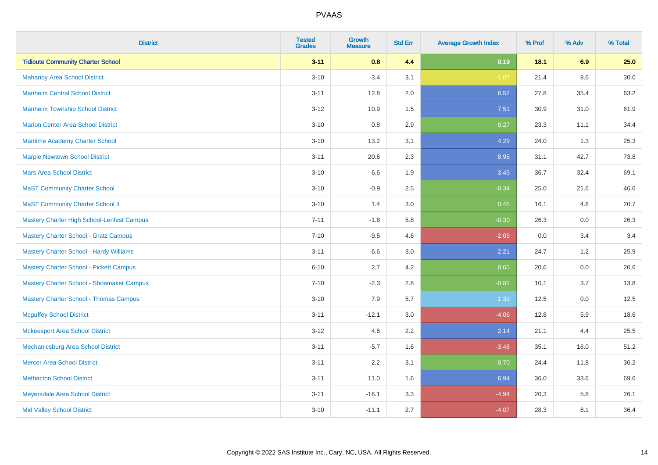| <b>District</b>                                | <b>Tested</b><br><b>Grades</b> | <b>Growth</b><br><b>Measure</b> | <b>Std Err</b> | <b>Average Growth Index</b> | % Prof | % Adv   | % Total  |
|------------------------------------------------|--------------------------------|---------------------------------|----------------|-----------------------------|--------|---------|----------|
| <b>Tidioute Community Charter School</b>       | $3 - 11$                       | 0.8                             | 4.4            | 0.19                        | 18.1   | 6.9     | 25.0     |
| <b>Mahanoy Area School District</b>            | $3 - 10$                       | $-3.4$                          | 3.1            | $-1.07$                     | 21.4   | $8.6\,$ | $30.0\,$ |
| <b>Manheim Central School District</b>         | $3 - 11$                       | 12.8                            | 2.0            | 6.52                        | 27.8   | 35.4    | 63.2     |
| <b>Manheim Township School District</b>        | $3 - 12$                       | 10.9                            | 1.5            | 7.51                        | 30.9   | 31.0    | 61.9     |
| <b>Marion Center Area School District</b>      | $3 - 10$                       | 0.8                             | 2.9            | 0.27                        | 23.3   | 11.1    | 34.4     |
| Maritime Academy Charter School                | $3 - 10$                       | 13.2                            | 3.1            | 4.29                        | 24.0   | 1.3     | 25.3     |
| <b>Marple Newtown School District</b>          | $3 - 11$                       | 20.6                            | 2.3            | 8.95                        | 31.1   | 42.7    | 73.8     |
| <b>Mars Area School District</b>               | $3 - 10$                       | 6.6                             | 1.9            | 3.45                        | 36.7   | 32.4    | 69.1     |
| <b>MaST Community Charter School</b>           | $3 - 10$                       | $-0.9$                          | 2.5            | $-0.34$                     | 25.0   | 21.6    | 46.6     |
| <b>MaST Community Charter School II</b>        | $3 - 10$                       | 1.4                             | 3.0            | 0.45                        | 16.1   | 4.6     | 20.7     |
| Mastery Charter High School-Lenfest Campus     | $7 - 11$                       | $-1.8$                          | 5.8            | $-0.30$                     | 26.3   | 0.0     | 26.3     |
| <b>Mastery Charter School - Gratz Campus</b>   | $7 - 10$                       | $-9.5$                          | 4.6            | $-2.09$                     | 0.0    | 3.4     | 3.4      |
| Mastery Charter School - Hardy Williams        | $3 - 11$                       | 6.6                             | 3.0            | 2.21                        | 24.7   | 1.2     | 25.9     |
| <b>Mastery Charter School - Pickett Campus</b> | $6 - 10$                       | 2.7                             | 4.2            | 0.65                        | 20.6   | 0.0     | 20.6     |
| Mastery Charter School - Shoemaker Campus      | $7 - 10$                       | $-2.3$                          | 2.8            | $-0.81$                     | 10.1   | 3.7     | 13.8     |
| <b>Mastery Charter School - Thomas Campus</b>  | $3 - 10$                       | 7.9                             | 5.7            | 1.39                        | 12.5   | $0.0\,$ | 12.5     |
| <b>Mcguffey School District</b>                | $3 - 11$                       | $-12.1$                         | 3.0            | $-4.06$                     | 12.8   | 5.9     | 18.6     |
| <b>Mckeesport Area School District</b>         | $3 - 12$                       | 4.6                             | 2.2            | 2.14                        | 21.1   | 4.4     | 25.5     |
| Mechanicsburg Area School District             | $3 - 11$                       | $-5.7$                          | 1.6            | $-3.48$                     | 35.1   | 16.0    | 51.2     |
| <b>Mercer Area School District</b>             | $3 - 11$                       | 2.2                             | 3.1            | 0.70                        | 24.4   | 11.8    | 36.2     |
| <b>Methacton School District</b>               | $3 - 11$                       | 11.0                            | 1.6            | 6.94                        | 36.0   | 33.6    | 69.6     |
| Meyersdale Area School District                | $3 - 11$                       | $-16.1$                         | 3.3            | $-4.94$                     | 20.3   | 5.8     | 26.1     |
| <b>Mid Valley School District</b>              | $3 - 10$                       | $-11.1$                         | 2.7            | $-4.07$                     | 28.3   | 8.1     | 36.4     |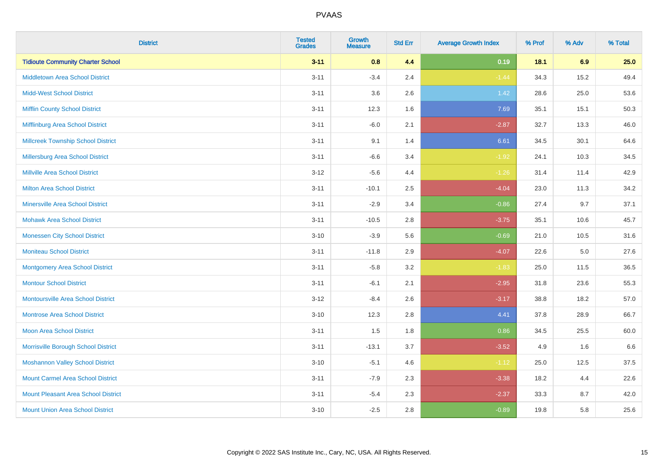| <b>District</b>                            | <b>Tested</b><br><b>Grades</b> | <b>Growth</b><br><b>Measure</b> | <b>Std Err</b> | <b>Average Growth Index</b> | % Prof | % Adv   | % Total |
|--------------------------------------------|--------------------------------|---------------------------------|----------------|-----------------------------|--------|---------|---------|
| <b>Tidioute Community Charter School</b>   | $3 - 11$                       | 0.8                             | 4.4            | 0.19                        | 18.1   | 6.9     | 25.0    |
| <b>Middletown Area School District</b>     | $3 - 11$                       | $-3.4$                          | 2.4            | $-1.44$                     | 34.3   | 15.2    | 49.4    |
| <b>Midd-West School District</b>           | $3 - 11$                       | 3.6                             | 2.6            | 1.42                        | 28.6   | 25.0    | 53.6    |
| <b>Mifflin County School District</b>      | $3 - 11$                       | 12.3                            | 1.6            | 7.69                        | 35.1   | 15.1    | 50.3    |
| Mifflinburg Area School District           | $3 - 11$                       | $-6.0$                          | 2.1            | $-2.87$                     | 32.7   | 13.3    | 46.0    |
| <b>Millcreek Township School District</b>  | $3 - 11$                       | 9.1                             | 1.4            | 6.61                        | 34.5   | 30.1    | 64.6    |
| Millersburg Area School District           | $3 - 11$                       | $-6.6$                          | 3.4            | $-1.92$                     | 24.1   | 10.3    | 34.5    |
| <b>Millville Area School District</b>      | $3 - 12$                       | $-5.6$                          | 4.4            | $-1.26$                     | 31.4   | 11.4    | 42.9    |
| <b>Milton Area School District</b>         | $3 - 11$                       | $-10.1$                         | 2.5            | $-4.04$                     | 23.0   | 11.3    | 34.2    |
| <b>Minersville Area School District</b>    | $3 - 11$                       | $-2.9$                          | 3.4            | $-0.86$                     | 27.4   | 9.7     | 37.1    |
| <b>Mohawk Area School District</b>         | $3 - 11$                       | $-10.5$                         | 2.8            | $-3.75$                     | 35.1   | 10.6    | 45.7    |
| <b>Monessen City School District</b>       | $3 - 10$                       | $-3.9$                          | 5.6            | $-0.69$                     | 21.0   | 10.5    | 31.6    |
| <b>Moniteau School District</b>            | $3 - 11$                       | $-11.8$                         | 2.9            | $-4.07$                     | 22.6   | $5.0\,$ | 27.6    |
| <b>Montgomery Area School District</b>     | $3 - 11$                       | $-5.8$                          | 3.2            | $-1.83$                     | 25.0   | 11.5    | 36.5    |
| <b>Montour School District</b>             | $3 - 11$                       | $-6.1$                          | 2.1            | $-2.95$                     | 31.8   | 23.6    | 55.3    |
| <b>Montoursville Area School District</b>  | $3 - 12$                       | $-8.4$                          | 2.6            | $-3.17$                     | 38.8   | 18.2    | 57.0    |
| <b>Montrose Area School District</b>       | $3 - 10$                       | 12.3                            | 2.8            | 4.41                        | 37.8   | 28.9    | 66.7    |
| <b>Moon Area School District</b>           | $3 - 11$                       | 1.5                             | 1.8            | 0.86                        | 34.5   | 25.5    | 60.0    |
| Morrisville Borough School District        | $3 - 11$                       | $-13.1$                         | 3.7            | $-3.52$                     | 4.9    | 1.6     | 6.6     |
| <b>Moshannon Valley School District</b>    | $3 - 10$                       | $-5.1$                          | 4.6            | $-1.12$                     | 25.0   | 12.5    | 37.5    |
| <b>Mount Carmel Area School District</b>   | $3 - 11$                       | $-7.9$                          | 2.3            | $-3.38$                     | 18.2   | 4.4     | 22.6    |
| <b>Mount Pleasant Area School District</b> | $3 - 11$                       | $-5.4$                          | 2.3            | $-2.37$                     | 33.3   | 8.7     | 42.0    |
| <b>Mount Union Area School District</b>    | $3 - 10$                       | $-2.5$                          | 2.8            | $-0.89$                     | 19.8   | 5.8     | 25.6    |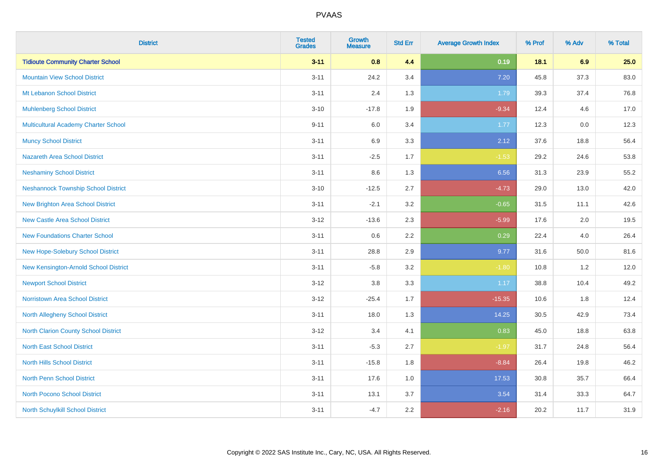| <b>District</b>                             | <b>Tested</b><br><b>Grades</b> | <b>Growth</b><br><b>Measure</b> | <b>Std Err</b> | <b>Average Growth Index</b> | % Prof | % Adv | % Total |
|---------------------------------------------|--------------------------------|---------------------------------|----------------|-----------------------------|--------|-------|---------|
| <b>Tidioute Community Charter School</b>    | $3 - 11$                       | 0.8                             | 4.4            | 0.19                        | 18.1   | 6.9   | 25.0    |
| <b>Mountain View School District</b>        | $3 - 11$                       | 24.2                            | 3.4            | 7.20                        | 45.8   | 37.3  | 83.0    |
| Mt Lebanon School District                  | $3 - 11$                       | 2.4                             | 1.3            | 1.79                        | 39.3   | 37.4  | 76.8    |
| <b>Muhlenberg School District</b>           | $3 - 10$                       | $-17.8$                         | 1.9            | $-9.34$                     | 12.4   | 4.6   | 17.0    |
| <b>Multicultural Academy Charter School</b> | $9 - 11$                       | 6.0                             | 3.4            | 1.77                        | 12.3   | 0.0   | 12.3    |
| <b>Muncy School District</b>                | $3 - 11$                       | 6.9                             | 3.3            | 2.12                        | 37.6   | 18.8  | 56.4    |
| <b>Nazareth Area School District</b>        | $3 - 11$                       | $-2.5$                          | 1.7            | $-1.53$                     | 29.2   | 24.6  | 53.8    |
| <b>Neshaminy School District</b>            | $3 - 11$                       | $8.6\,$                         | 1.3            | 6.56                        | 31.3   | 23.9  | 55.2    |
| <b>Neshannock Township School District</b>  | $3 - 10$                       | $-12.5$                         | 2.7            | $-4.73$                     | 29.0   | 13.0  | 42.0    |
| <b>New Brighton Area School District</b>    | $3 - 11$                       | $-2.1$                          | 3.2            | $-0.65$                     | 31.5   | 11.1  | 42.6    |
| <b>New Castle Area School District</b>      | $3 - 12$                       | $-13.6$                         | 2.3            | $-5.99$                     | 17.6   | 2.0   | 19.5    |
| <b>New Foundations Charter School</b>       | $3 - 11$                       | $0.6\,$                         | 2.2            | 0.29                        | 22.4   | 4.0   | 26.4    |
| New Hope-Solebury School District           | $3 - 11$                       | 28.8                            | 2.9            | 9.77                        | 31.6   | 50.0  | 81.6    |
| New Kensington-Arnold School District       | $3 - 11$                       | $-5.8$                          | 3.2            | $-1.80$                     | 10.8   | 1.2   | 12.0    |
| <b>Newport School District</b>              | $3 - 12$                       | $3.8\,$                         | 3.3            | 1.17                        | 38.8   | 10.4  | 49.2    |
| <b>Norristown Area School District</b>      | $3 - 12$                       | $-25.4$                         | 1.7            | $-15.35$                    | 10.6   | 1.8   | 12.4    |
| <b>North Allegheny School District</b>      | $3 - 11$                       | 18.0                            | 1.3            | 14.25                       | 30.5   | 42.9  | 73.4    |
| <b>North Clarion County School District</b> | $3 - 12$                       | 3.4                             | 4.1            | 0.83                        | 45.0   | 18.8  | 63.8    |
| <b>North East School District</b>           | $3 - 11$                       | $-5.3$                          | 2.7            | $-1.97$                     | 31.7   | 24.8  | 56.4    |
| <b>North Hills School District</b>          | $3 - 11$                       | $-15.8$                         | 1.8            | $-8.84$                     | 26.4   | 19.8  | 46.2    |
| <b>North Penn School District</b>           | $3 - 11$                       | 17.6                            | 1.0            | 17.53                       | 30.8   | 35.7  | 66.4    |
| <b>North Pocono School District</b>         | $3 - 11$                       | 13.1                            | 3.7            | 3.54                        | 31.4   | 33.3  | 64.7    |
| North Schuylkill School District            | $3 - 11$                       | $-4.7$                          | 2.2            | $-2.16$                     | 20.2   | 11.7  | 31.9    |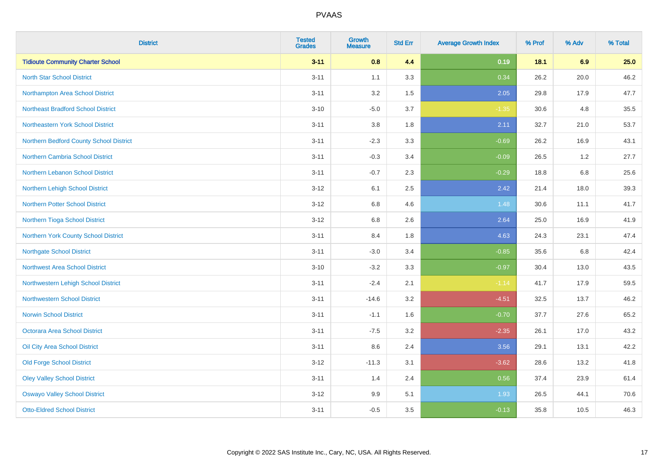| <b>District</b>                           | <b>Tested</b><br><b>Grades</b> | <b>Growth</b><br><b>Measure</b> | <b>Std Err</b> | <b>Average Growth Index</b> | % Prof | % Adv   | % Total |
|-------------------------------------------|--------------------------------|---------------------------------|----------------|-----------------------------|--------|---------|---------|
| <b>Tidioute Community Charter School</b>  | $3 - 11$                       | 0.8                             | 4.4            | 0.19                        | 18.1   | 6.9     | 25.0    |
| <b>North Star School District</b>         | $3 - 11$                       | 1.1                             | 3.3            | 0.34                        | 26.2   | 20.0    | 46.2    |
| Northampton Area School District          | $3 - 11$                       | 3.2                             | 1.5            | 2.05                        | 29.8   | 17.9    | 47.7    |
| <b>Northeast Bradford School District</b> | $3 - 10$                       | $-5.0$                          | 3.7            | $-1.35$                     | 30.6   | 4.8     | 35.5    |
| Northeastern York School District         | $3 - 11$                       | 3.8                             | 1.8            | 2.11                        | 32.7   | 21.0    | 53.7    |
| Northern Bedford County School District   | $3 - 11$                       | $-2.3$                          | 3.3            | $-0.69$                     | 26.2   | 16.9    | 43.1    |
| Northern Cambria School District          | $3 - 11$                       | $-0.3$                          | 3.4            | $-0.09$                     | 26.5   | 1.2     | 27.7    |
| Northern Lebanon School District          | $3 - 11$                       | $-0.7$                          | 2.3            | $-0.29$                     | 18.8   | 6.8     | 25.6    |
| Northern Lehigh School District           | $3 - 12$                       | 6.1                             | 2.5            | 2.42                        | 21.4   | 18.0    | 39.3    |
| Northern Potter School District           | $3 - 12$                       | 6.8                             | 4.6            | 1.48                        | 30.6   | 11.1    | 41.7    |
| Northern Tioga School District            | $3 - 12$                       | 6.8                             | 2.6            | 2.64                        | 25.0   | 16.9    | 41.9    |
| Northern York County School District      | $3 - 11$                       | 8.4                             | 1.8            | 4.63                        | 24.3   | 23.1    | 47.4    |
| <b>Northgate School District</b>          | $3 - 11$                       | $-3.0$                          | 3.4            | $-0.85$                     | 35.6   | $6.8\,$ | 42.4    |
| Northwest Area School District            | $3 - 10$                       | $-3.2$                          | 3.3            | $-0.97$                     | 30.4   | 13.0    | 43.5    |
| Northwestern Lehigh School District       | $3 - 11$                       | $-2.4$                          | 2.1            | $-1.14$                     | 41.7   | 17.9    | 59.5    |
| <b>Northwestern School District</b>       | $3 - 11$                       | $-14.6$                         | 3.2            | $-4.51$                     | 32.5   | 13.7    | 46.2    |
| <b>Norwin School District</b>             | $3 - 11$                       | $-1.1$                          | 1.6            | $-0.70$                     | 37.7   | 27.6    | 65.2    |
| <b>Octorara Area School District</b>      | $3 - 11$                       | $-7.5$                          | 3.2            | $-2.35$                     | 26.1   | 17.0    | 43.2    |
| Oil City Area School District             | $3 - 11$                       | 8.6                             | 2.4            | 3.56                        | 29.1   | 13.1    | 42.2    |
| <b>Old Forge School District</b>          | $3 - 12$                       | $-11.3$                         | 3.1            | $-3.62$                     | 28.6   | 13.2    | 41.8    |
| <b>Oley Valley School District</b>        | $3 - 11$                       | 1.4                             | 2.4            | 0.56                        | 37.4   | 23.9    | 61.4    |
| <b>Oswayo Valley School District</b>      | $3 - 12$                       | 9.9                             | 5.1            | 1.93                        | 26.5   | 44.1    | 70.6    |
| <b>Otto-Eldred School District</b>        | $3 - 11$                       | $-0.5$                          | 3.5            | $-0.13$                     | 35.8   | 10.5    | 46.3    |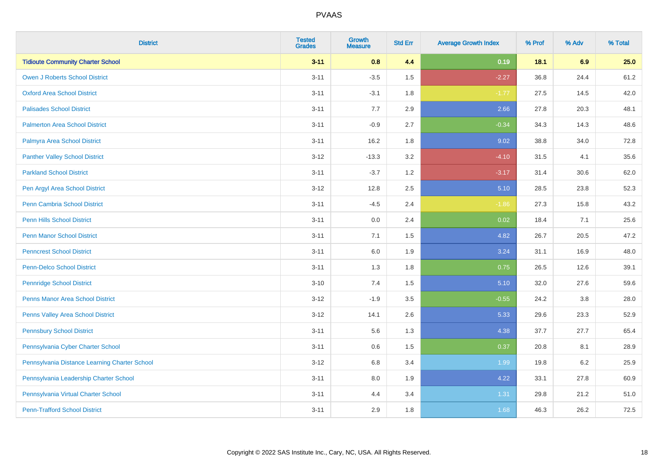| <b>District</b>                               | <b>Tested</b><br><b>Grades</b> | <b>Growth</b><br><b>Measure</b> | <b>Std Err</b> | <b>Average Growth Index</b> | % Prof | % Adv   | % Total |
|-----------------------------------------------|--------------------------------|---------------------------------|----------------|-----------------------------|--------|---------|---------|
| <b>Tidioute Community Charter School</b>      | $3 - 11$                       | 0.8                             | 4.4            | 0.19                        | 18.1   | 6.9     | 25.0    |
| <b>Owen J Roberts School District</b>         | $3 - 11$                       | $-3.5$                          | 1.5            | $-2.27$                     | 36.8   | 24.4    | 61.2    |
| <b>Oxford Area School District</b>            | $3 - 11$                       | $-3.1$                          | 1.8            | $-1.77$                     | 27.5   | 14.5    | 42.0    |
| <b>Palisades School District</b>              | $3 - 11$                       | 7.7                             | 2.9            | 2.66                        | 27.8   | 20.3    | 48.1    |
| <b>Palmerton Area School District</b>         | $3 - 11$                       | $-0.9$                          | 2.7            | $-0.34$                     | 34.3   | 14.3    | 48.6    |
| Palmyra Area School District                  | $3 - 11$                       | 16.2                            | 1.8            | 9.02                        | 38.8   | 34.0    | 72.8    |
| <b>Panther Valley School District</b>         | $3 - 12$                       | $-13.3$                         | 3.2            | $-4.10$                     | 31.5   | 4.1     | 35.6    |
| <b>Parkland School District</b>               | $3 - 11$                       | $-3.7$                          | 1.2            | $-3.17$                     | 31.4   | 30.6    | 62.0    |
| Pen Argyl Area School District                | $3-12$                         | 12.8                            | 2.5            | 5.10                        | 28.5   | 23.8    | 52.3    |
| <b>Penn Cambria School District</b>           | $3 - 11$                       | $-4.5$                          | 2.4            | $-1.86$                     | 27.3   | 15.8    | 43.2    |
| <b>Penn Hills School District</b>             | $3 - 11$                       | 0.0                             | 2.4            | 0.02                        | 18.4   | 7.1     | 25.6    |
| <b>Penn Manor School District</b>             | $3 - 11$                       | 7.1                             | 1.5            | 4.82                        | 26.7   | 20.5    | 47.2    |
| <b>Penncrest School District</b>              | $3 - 11$                       | $6.0\,$                         | 1.9            | 3.24                        | 31.1   | 16.9    | 48.0    |
| <b>Penn-Delco School District</b>             | $3 - 11$                       | 1.3                             | 1.8            | 0.75                        | 26.5   | 12.6    | 39.1    |
| <b>Pennridge School District</b>              | $3 - 10$                       | 7.4                             | 1.5            | 5.10                        | 32.0   | 27.6    | 59.6    |
| <b>Penns Manor Area School District</b>       | $3 - 12$                       | $-1.9$                          | 3.5            | $-0.55$                     | 24.2   | $3.8\,$ | 28.0    |
| Penns Valley Area School District             | $3 - 12$                       | 14.1                            | 2.6            | 5.33                        | 29.6   | 23.3    | 52.9    |
| <b>Pennsbury School District</b>              | $3 - 11$                       | 5.6                             | 1.3            | 4.38                        | 37.7   | 27.7    | 65.4    |
| Pennsylvania Cyber Charter School             | $3 - 11$                       | 0.6                             | 1.5            | 0.37                        | 20.8   | 8.1     | 28.9    |
| Pennsylvania Distance Learning Charter School | $3-12$                         | 6.8                             | 3.4            | 1.99                        | 19.8   | 6.2     | 25.9    |
| Pennsylvania Leadership Charter School        | $3 - 11$                       | 8.0                             | 1.9            | 4.22                        | 33.1   | 27.8    | 60.9    |
| Pennsylvania Virtual Charter School           | $3 - 11$                       | 4.4                             | 3.4            | 1.31                        | 29.8   | 21.2    | 51.0    |
| <b>Penn-Trafford School District</b>          | $3 - 11$                       | 2.9                             | 1.8            | 1.68                        | 46.3   | 26.2    | 72.5    |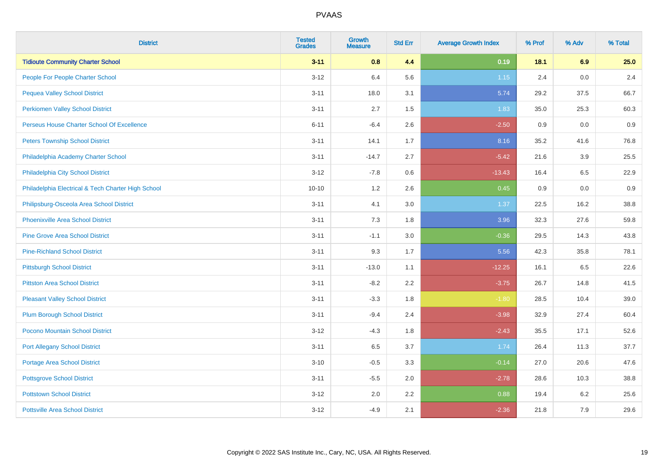| <b>District</b>                                    | <b>Tested</b><br><b>Grades</b> | <b>Growth</b><br><b>Measure</b> | <b>Std Err</b> | <b>Average Growth Index</b> | % Prof | % Adv | % Total |
|----------------------------------------------------|--------------------------------|---------------------------------|----------------|-----------------------------|--------|-------|---------|
| <b>Tidioute Community Charter School</b>           | $3 - 11$                       | 0.8                             | 4.4            | 0.19                        | 18.1   | 6.9   | 25.0    |
| People For People Charter School                   | $3 - 12$                       | 6.4                             | 5.6            | $1.15$                      | 2.4    | 0.0   | 2.4     |
| <b>Pequea Valley School District</b>               | $3 - 11$                       | 18.0                            | 3.1            | 5.74                        | 29.2   | 37.5  | 66.7    |
| <b>Perkiomen Valley School District</b>            | $3 - 11$                       | 2.7                             | 1.5            | 1.83                        | 35.0   | 25.3  | 60.3    |
| Perseus House Charter School Of Excellence         | $6 - 11$                       | $-6.4$                          | 2.6            | $-2.50$                     | 0.9    | 0.0   | 0.9     |
| <b>Peters Township School District</b>             | $3 - 11$                       | 14.1                            | 1.7            | 8.16                        | 35.2   | 41.6  | 76.8    |
| Philadelphia Academy Charter School                | $3 - 11$                       | $-14.7$                         | 2.7            | $-5.42$                     | 21.6   | 3.9   | 25.5    |
| Philadelphia City School District                  | $3 - 12$                       | $-7.8$                          | 0.6            | $-13.43$                    | 16.4   | 6.5   | 22.9    |
| Philadelphia Electrical & Tech Charter High School | $10 - 10$                      | 1.2                             | 2.6            | 0.45                        | 0.9    | 0.0   | 0.9     |
| Philipsburg-Osceola Area School District           | $3 - 11$                       | 4.1                             | 3.0            | 1.37                        | 22.5   | 16.2  | 38.8    |
| Phoenixville Area School District                  | $3 - 11$                       | 7.3                             | 1.8            | 3.96                        | 32.3   | 27.6  | 59.8    |
| <b>Pine Grove Area School District</b>             | $3 - 11$                       | $-1.1$                          | 3.0            | $-0.36$                     | 29.5   | 14.3  | 43.8    |
| <b>Pine-Richland School District</b>               | $3 - 11$                       | 9.3                             | 1.7            | 5.56                        | 42.3   | 35.8  | 78.1    |
| <b>Pittsburgh School District</b>                  | $3 - 11$                       | $-13.0$                         | 1.1            | $-12.25$                    | 16.1   | 6.5   | 22.6    |
| <b>Pittston Area School District</b>               | $3 - 11$                       | $-8.2$                          | 2.2            | $-3.75$                     | 26.7   | 14.8  | 41.5    |
| <b>Pleasant Valley School District</b>             | $3 - 11$                       | $-3.3$                          | 1.8            | $-1.80$                     | 28.5   | 10.4  | 39.0    |
| <b>Plum Borough School District</b>                | $3 - 11$                       | $-9.4$                          | 2.4            | $-3.98$                     | 32.9   | 27.4  | 60.4    |
| Pocono Mountain School District                    | $3 - 12$                       | $-4.3$                          | 1.8            | $-2.43$                     | 35.5   | 17.1  | 52.6    |
| <b>Port Allegany School District</b>               | $3 - 11$                       | 6.5                             | 3.7            | 1.74                        | 26.4   | 11.3  | 37.7    |
| <b>Portage Area School District</b>                | $3 - 10$                       | $-0.5$                          | 3.3            | $-0.14$                     | 27.0   | 20.6  | 47.6    |
| <b>Pottsgrove School District</b>                  | $3 - 11$                       | $-5.5$                          | 2.0            | $-2.78$                     | 28.6   | 10.3  | 38.8    |
| <b>Pottstown School District</b>                   | $3 - 12$                       | 2.0                             | 2.2            | 0.88                        | 19.4   | 6.2   | 25.6    |
| <b>Pottsville Area School District</b>             | $3-12$                         | $-4.9$                          | 2.1            | $-2.36$                     | 21.8   | 7.9   | 29.6    |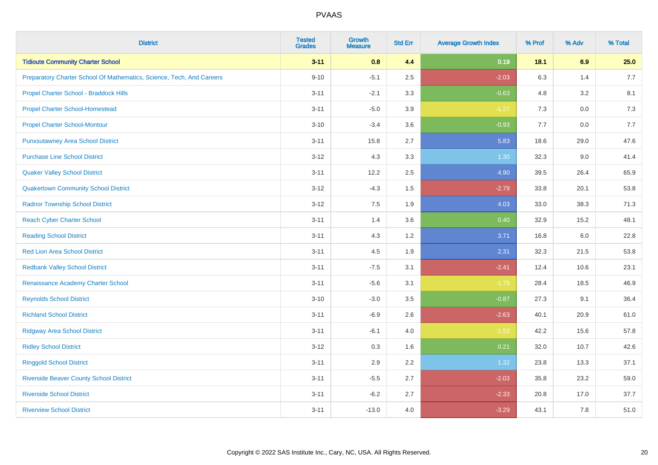| <b>District</b>                                                       | <b>Tested</b><br><b>Grades</b> | <b>Growth</b><br><b>Measure</b> | <b>Std Err</b> | <b>Average Growth Index</b> | % Prof | % Adv   | % Total |
|-----------------------------------------------------------------------|--------------------------------|---------------------------------|----------------|-----------------------------|--------|---------|---------|
| <b>Tidioute Community Charter School</b>                              | $3 - 11$                       | 0.8                             | 4.4            | 0.19                        | 18.1   | 6.9     | 25.0    |
| Preparatory Charter School Of Mathematics, Science, Tech, And Careers | $9 - 10$                       | $-5.1$                          | 2.5            | $-2.03$                     | 6.3    | 1.4     | 7.7     |
| Propel Charter School - Braddock Hills                                | $3 - 11$                       | $-2.1$                          | 3.3            | $-0.63$                     | 4.8    | 3.2     | 8.1     |
| <b>Propel Charter School-Homestead</b>                                | $3 - 11$                       | $-5.0$                          | 3.9            | $-1.27$                     | 7.3    | $0.0\,$ | 7.3     |
| <b>Propel Charter School-Montour</b>                                  | $3 - 10$                       | $-3.4$                          | 3.6            | $-0.93$                     | 7.7    | 0.0     | 7.7     |
| <b>Punxsutawney Area School District</b>                              | $3 - 11$                       | 15.8                            | 2.7            | 5.83                        | 18.6   | 29.0    | 47.6    |
| <b>Purchase Line School District</b>                                  | $3 - 12$                       | 4.3                             | 3.3            | 1.30                        | 32.3   | 9.0     | 41.4    |
| <b>Quaker Valley School District</b>                                  | $3 - 11$                       | 12.2                            | 2.5            | 4.90                        | 39.5   | 26.4    | 65.9    |
| <b>Quakertown Community School District</b>                           | $3 - 12$                       | $-4.3$                          | 1.5            | $-2.79$                     | 33.8   | 20.1    | 53.8    |
| <b>Radnor Township School District</b>                                | $3 - 12$                       | 7.5                             | 1.9            | 4.03                        | 33.0   | 38.3    | 71.3    |
| <b>Reach Cyber Charter School</b>                                     | $3 - 11$                       | 1.4                             | 3.6            | 0.40                        | 32.9   | 15.2    | 48.1    |
| <b>Reading School District</b>                                        | $3 - 11$                       | 4.3                             | 1.2            | 3.71                        | 16.8   | 6.0     | 22.8    |
| <b>Red Lion Area School District</b>                                  | $3 - 11$                       | 4.5                             | 1.9            | 2.31                        | 32.3   | 21.5    | 53.8    |
| <b>Redbank Valley School District</b>                                 | $3 - 11$                       | $-7.5$                          | 3.1            | $-2.41$                     | 12.4   | 10.6    | 23.1    |
| Renaissance Academy Charter School                                    | $3 - 11$                       | $-5.6$                          | 3.1            | $-1.79$                     | 28.4   | 18.5    | 46.9    |
| <b>Reynolds School District</b>                                       | $3 - 10$                       | $-3.0$                          | 3.5            | $-0.87$                     | 27.3   | 9.1     | 36.4    |
| <b>Richland School District</b>                                       | $3 - 11$                       | $-6.9$                          | 2.6            | $-2.63$                     | 40.1   | 20.9    | 61.0    |
| <b>Ridgway Area School District</b>                                   | $3 - 11$                       | $-6.1$                          | 4.0            | $-1.53$                     | 42.2   | 15.6    | 57.8    |
| <b>Ridley School District</b>                                         | $3 - 12$                       | 0.3                             | 1.6            | 0.21                        | 32.0   | 10.7    | 42.6    |
| <b>Ringgold School District</b>                                       | $3 - 11$                       | 2.9                             | 2.2            | 1.32                        | 23.8   | 13.3    | 37.1    |
| <b>Riverside Beaver County School District</b>                        | $3 - 11$                       | $-5.5$                          | 2.7            | $-2.03$                     | 35.8   | 23.2    | 59.0    |
| <b>Riverside School District</b>                                      | $3 - 11$                       | $-6.2$                          | 2.7            | $-2.33$                     | 20.8   | 17.0    | 37.7    |
| <b>Riverview School District</b>                                      | $3 - 11$                       | $-13.0$                         | 4.0            | $-3.29$                     | 43.1   | 7.8     | 51.0    |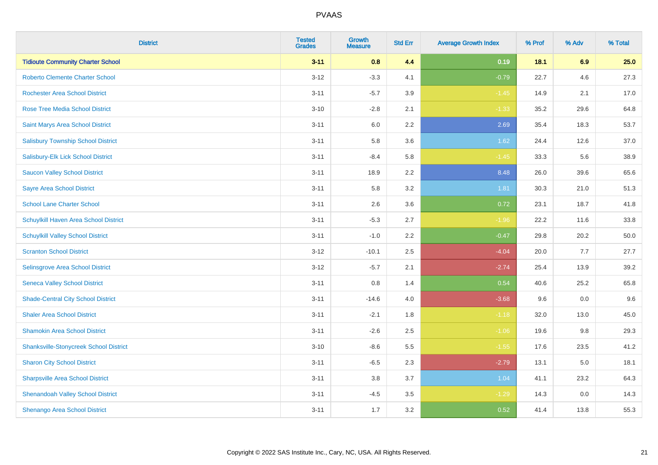| <b>District</b>                               | <b>Tested</b><br><b>Grades</b> | Growth<br><b>Measure</b> | <b>Std Err</b> | <b>Average Growth Index</b> | % Prof | % Adv | % Total |
|-----------------------------------------------|--------------------------------|--------------------------|----------------|-----------------------------|--------|-------|---------|
| <b>Tidioute Community Charter School</b>      | $3 - 11$                       | 0.8                      | 4.4            | 0.19                        | 18.1   | 6.9   | 25.0    |
| <b>Roberto Clemente Charter School</b>        | $3 - 12$                       | $-3.3$                   | 4.1            | $-0.79$                     | 22.7   | 4.6   | 27.3    |
| <b>Rochester Area School District</b>         | $3 - 11$                       | $-5.7$                   | 3.9            | $-1.45$                     | 14.9   | 2.1   | 17.0    |
| Rose Tree Media School District               | $3 - 10$                       | $-2.8$                   | 2.1            | $-1.33$                     | 35.2   | 29.6  | 64.8    |
| Saint Marys Area School District              | $3 - 11$                       | 6.0                      | 2.2            | 2.69                        | 35.4   | 18.3  | 53.7    |
| <b>Salisbury Township School District</b>     | $3 - 11$                       | 5.8                      | 3.6            | 1.62                        | 24.4   | 12.6  | 37.0    |
| Salisbury-Elk Lick School District            | $3 - 11$                       | $-8.4$                   | 5.8            | $-1.45$                     | 33.3   | 5.6   | 38.9    |
| <b>Saucon Valley School District</b>          | $3 - 11$                       | 18.9                     | 2.2            | 8.48                        | 26.0   | 39.6  | 65.6    |
| <b>Sayre Area School District</b>             | $3 - 11$                       | 5.8                      | 3.2            | 1.81                        | 30.3   | 21.0  | 51.3    |
| <b>School Lane Charter School</b>             | $3 - 11$                       | 2.6                      | 3.6            | 0.72                        | 23.1   | 18.7  | 41.8    |
| Schuylkill Haven Area School District         | $3 - 11$                       | $-5.3$                   | 2.7            | $-1.96$                     | 22.2   | 11.6  | 33.8    |
| <b>Schuylkill Valley School District</b>      | $3 - 11$                       | $-1.0$                   | 2.2            | $-0.47$                     | 29.8   | 20.2  | 50.0    |
| <b>Scranton School District</b>               | $3 - 12$                       | $-10.1$                  | 2.5            | $-4.04$                     | 20.0   | 7.7   | 27.7    |
| Selinsgrove Area School District              | $3 - 12$                       | $-5.7$                   | 2.1            | $-2.74$                     | 25.4   | 13.9  | 39.2    |
| <b>Seneca Valley School District</b>          | $3 - 11$                       | $0.8\,$                  | 1.4            | 0.54                        | 40.6   | 25.2  | 65.8    |
| <b>Shade-Central City School District</b>     | $3 - 11$                       | $-14.6$                  | 4.0            | $-3.68$                     | 9.6    | 0.0   | 9.6     |
| <b>Shaler Area School District</b>            | $3 - 11$                       | $-2.1$                   | 1.8            | $-1.18$                     | 32.0   | 13.0  | 45.0    |
| <b>Shamokin Area School District</b>          | $3 - 11$                       | $-2.6$                   | 2.5            | $-1.06$                     | 19.6   | 9.8   | 29.3    |
| <b>Shanksville-Stonycreek School District</b> | $3 - 10$                       | $-8.6$                   | 5.5            | $-1.55$                     | 17.6   | 23.5  | 41.2    |
| <b>Sharon City School District</b>            | $3 - 11$                       | $-6.5$                   | 2.3            | $-2.79$                     | 13.1   | 5.0   | 18.1    |
| <b>Sharpsville Area School District</b>       | $3 - 11$                       | 3.8                      | 3.7            | 1.04                        | 41.1   | 23.2  | 64.3    |
| <b>Shenandoah Valley School District</b>      | $3 - 11$                       | $-4.5$                   | 3.5            | $-1.29$                     | 14.3   | 0.0   | 14.3    |
| Shenango Area School District                 | $3 - 11$                       | 1.7                      | 3.2            | 0.52                        | 41.4   | 13.8  | 55.3    |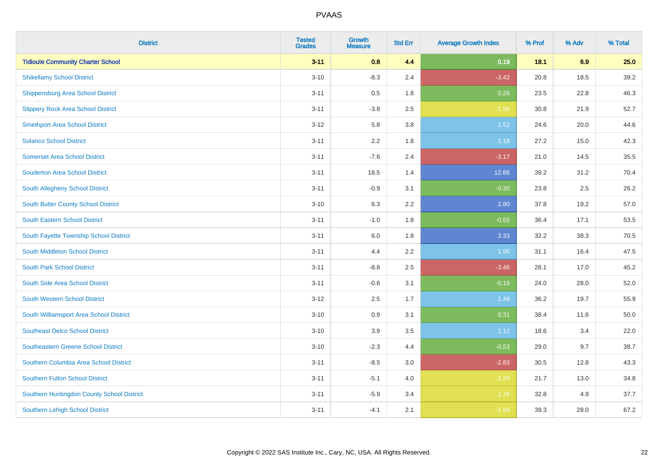| <b>District</b>                            | <b>Tested</b><br><b>Grades</b> | <b>Growth</b><br><b>Measure</b> | <b>Std Err</b> | <b>Average Growth Index</b> | % Prof | % Adv | % Total |
|--------------------------------------------|--------------------------------|---------------------------------|----------------|-----------------------------|--------|-------|---------|
| <b>Tidioute Community Charter School</b>   | $3 - 11$                       | 0.8                             | 4.4            | 0.19                        | 18.1   | 6.9   | 25.0    |
| <b>Shikellamy School District</b>          | $3 - 10$                       | $-8.3$                          | 2.4            | $-3.42$                     | 20.8   | 18.5  | 39.2    |
| <b>Shippensburg Area School District</b>   | $3 - 11$                       | 0.5                             | 1.8            | 0.26                        | 23.5   | 22.8  | 46.3    |
| <b>Slippery Rock Area School District</b>  | $3 - 11$                       | $-3.8$                          | 2.5            | $-1.56$                     | 30.8   | 21.9  | 52.7    |
| <b>Smethport Area School District</b>      | $3 - 12$                       | 5.8                             | 3.8            | 1.52                        | 24.6   | 20.0  | 44.6    |
| <b>Solanco School District</b>             | $3 - 11$                       | 2.2                             | 1.8            | 1.18                        | 27.2   | 15.0  | 42.3    |
| <b>Somerset Area School District</b>       | $3 - 11$                       | $-7.6$                          | 2.4            | $-3.17$                     | 21.0   | 14.5  | 35.5    |
| <b>Souderton Area School District</b>      | $3 - 11$                       | 18.5                            | 1.4            | 12.86                       | 39.2   | 31.2  | 70.4    |
| South Allegheny School District            | $3 - 11$                       | $-0.9$                          | 3.1            | $-0.30$                     | 23.8   | 2.5   | 26.2    |
| South Butler County School District        | $3 - 10$                       | 6.3                             | 2.2            | 2.80                        | 37.8   | 19.2  | 57.0    |
| <b>South Eastern School District</b>       | $3 - 11$                       | $-1.0$                          | 1.8            | $-0.55$                     | 36.4   | 17.1  | 53.5    |
| South Fayette Township School District     | $3 - 11$                       | 6.0                             | 1.8            | 3.33                        | 32.2   | 38.3  | 70.5    |
| South Middleton School District            | $3 - 11$                       | 4.4                             | 2.2            | 1.95                        | 31.1   | 16.4  | 47.5    |
| <b>South Park School District</b>          | $3 - 11$                       | $-8.8$                          | 2.5            | $-3.46$                     | 28.1   | 17.0  | 45.2    |
| South Side Area School District            | $3 - 11$                       | $-0.6$                          | 3.1            | $-0.19$                     | 24.0   | 28.0  | 52.0    |
| <b>South Western School District</b>       | $3 - 12$                       | 2.5                             | 1.7            | 1.48                        | 36.2   | 19.7  | 55.9    |
| South Williamsport Area School District    | $3 - 10$                       | 0.9                             | 3.1            | 0.31                        | 38.4   | 11.6  | 50.0    |
| <b>Southeast Delco School District</b>     | $3 - 10$                       | 3.9                             | 3.5            | 1.12                        | 18.6   | 3.4   | 22.0    |
| <b>Southeastern Greene School District</b> | $3 - 10$                       | $-2.3$                          | 4.4            | $-0.53$                     | 29.0   | 9.7   | 38.7    |
| Southern Columbia Area School District     | $3 - 11$                       | $-8.5$                          | 3.0            | $-2.83$                     | 30.5   | 12.8  | 43.3    |
| <b>Southern Fulton School District</b>     | $3 - 11$                       | $-5.1$                          | 4.0            | $-1.29$                     | 21.7   | 13.0  | 34.8    |
| Southern Huntingdon County School District | $3 - 11$                       | $-5.9$                          | 3.4            | $-1.76$                     | 32.8   | 4.9   | 37.7    |
| <b>Southern Lehigh School District</b>     | $3 - 11$                       | $-4.1$                          | 2.1            | $-1.94$                     | 39.3   | 28.0  | 67.2    |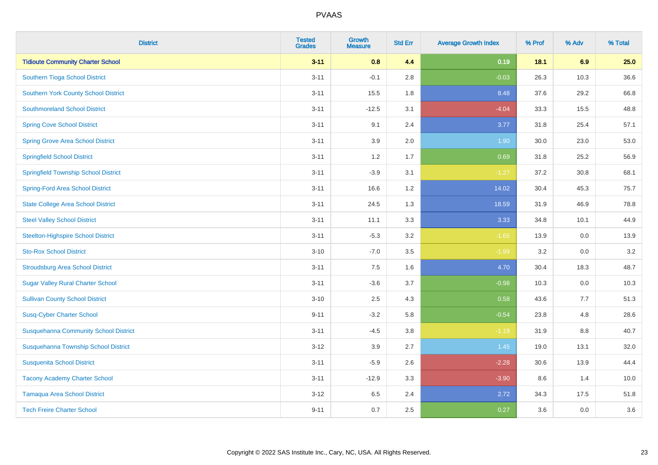| <b>District</b>                              | <b>Tested</b><br><b>Grades</b> | <b>Growth</b><br><b>Measure</b> | <b>Std Err</b> | <b>Average Growth Index</b> | % Prof | % Adv   | % Total |
|----------------------------------------------|--------------------------------|---------------------------------|----------------|-----------------------------|--------|---------|---------|
| <b>Tidioute Community Charter School</b>     | $3 - 11$                       | 0.8                             | 4.4            | 0.19                        | 18.1   | 6.9     | 25.0    |
| Southern Tioga School District               | $3 - 11$                       | $-0.1$                          | 2.8            | $-0.03$                     | 26.3   | 10.3    | 36.6    |
| <b>Southern York County School District</b>  | $3 - 11$                       | 15.5                            | 1.8            | 8.48                        | 37.6   | 29.2    | 66.8    |
| <b>Southmoreland School District</b>         | $3 - 11$                       | $-12.5$                         | 3.1            | $-4.04$                     | 33.3   | 15.5    | 48.8    |
| <b>Spring Cove School District</b>           | $3 - 11$                       | 9.1                             | 2.4            | 3.77                        | 31.8   | 25.4    | 57.1    |
| <b>Spring Grove Area School District</b>     | $3 - 11$                       | 3.9                             | 2.0            | 1.90                        | 30.0   | 23.0    | 53.0    |
| <b>Springfield School District</b>           | $3 - 11$                       | 1.2                             | 1.7            | 0.69                        | 31.8   | 25.2    | 56.9    |
| <b>Springfield Township School District</b>  | $3 - 11$                       | $-3.9$                          | 3.1            | $-1.27$                     | 37.2   | 30.8    | 68.1    |
| <b>Spring-Ford Area School District</b>      | $3 - 11$                       | 16.6                            | 1.2            | 14.02                       | 30.4   | 45.3    | 75.7    |
| <b>State College Area School District</b>    | $3 - 11$                       | 24.5                            | 1.3            | 18.59                       | 31.9   | 46.9    | 78.8    |
| <b>Steel Valley School District</b>          | $3 - 11$                       | 11.1                            | 3.3            | 3.33                        | 34.8   | 10.1    | 44.9    |
| <b>Steelton-Highspire School District</b>    | $3 - 11$                       | $-5.3$                          | 3.2            | $-1.65$                     | 13.9   | 0.0     | 13.9    |
| <b>Sto-Rox School District</b>               | $3 - 10$                       | $-7.0$                          | 3.5            | $-1.99$                     | 3.2    | $0.0\,$ | 3.2     |
| <b>Stroudsburg Area School District</b>      | $3 - 11$                       | 7.5                             | 1.6            | 4.70                        | 30.4   | 18.3    | 48.7    |
| <b>Sugar Valley Rural Charter School</b>     | $3 - 11$                       | $-3.6$                          | 3.7            | $-0.98$                     | 10.3   | 0.0     | 10.3    |
| <b>Sullivan County School District</b>       | $3 - 10$                       | 2.5                             | 4.3            | 0.58                        | 43.6   | 7.7     | 51.3    |
| <b>Susq-Cyber Charter School</b>             | $9 - 11$                       | $-3.2$                          | 5.8            | $-0.54$                     | 23.8   | 4.8     | 28.6    |
| <b>Susquehanna Community School District</b> | $3 - 11$                       | $-4.5$                          | 3.8            | $-1.19$                     | 31.9   | 8.8     | 40.7    |
| Susquehanna Township School District         | $3 - 12$                       | 3.9                             | 2.7            | 1.45                        | 19.0   | 13.1    | 32.0    |
| <b>Susquenita School District</b>            | $3 - 11$                       | $-5.9$                          | 2.6            | $-2.28$                     | 30.6   | 13.9    | 44.4    |
| <b>Tacony Academy Charter School</b>         | $3 - 11$                       | $-12.9$                         | 3.3            | $-3.90$                     | 8.6    | 1.4     | 10.0    |
| <b>Tamaqua Area School District</b>          | $3 - 12$                       | 6.5                             | 2.4            | 2.72                        | 34.3   | 17.5    | 51.8    |
| <b>Tech Freire Charter School</b>            | $9 - 11$                       | 0.7                             | 2.5            | 0.27                        | 3.6    | 0.0     | 3.6     |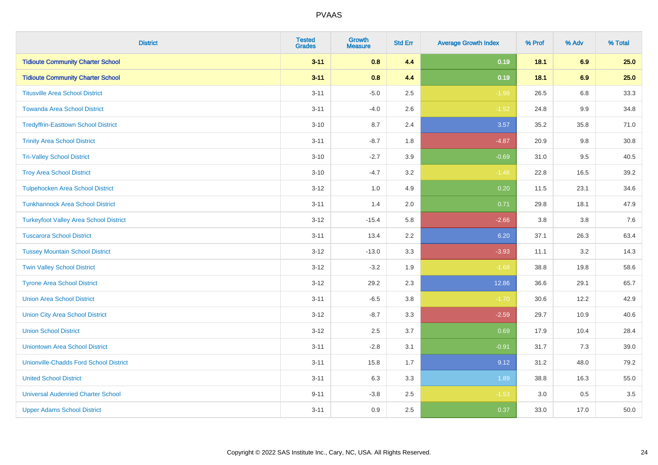| <b>District</b>                               | <b>Tested</b><br><b>Grades</b> | <b>Growth</b><br><b>Measure</b> | <b>Std Err</b> | <b>Average Growth Index</b> | % Prof | % Adv | % Total |
|-----------------------------------------------|--------------------------------|---------------------------------|----------------|-----------------------------|--------|-------|---------|
| <b>Tidioute Community Charter School</b>      | $3 - 11$                       | 0.8                             | 4.4            | 0.19                        | 18.1   | 6.9   | 25.0    |
| <b>Tidioute Community Charter School</b>      | $3 - 11$                       | 0.8                             | 4.4            | 0.19                        | 18.1   | 6.9   | 25.0    |
| <b>Titusville Area School District</b>        | $3 - 11$                       | $-5.0$                          | 2.5            | $-1.98$                     | 26.5   | 6.8   | 33.3    |
| <b>Towanda Area School District</b>           | $3 - 11$                       | $-4.0$                          | 2.6            | $-1.52$                     | 24.8   | 9.9   | 34.8    |
| <b>Tredyffrin-Easttown School District</b>    | $3 - 10$                       | 8.7                             | 2.4            | 3.57                        | 35.2   | 35.8  | 71.0    |
| <b>Trinity Area School District</b>           | $3 - 11$                       | $-8.7$                          | 1.8            | $-4.87$                     | 20.9   | 9.8   | 30.8    |
| <b>Tri-Valley School District</b>             | $3 - 10$                       | $-2.7$                          | 3.9            | $-0.69$                     | 31.0   | 9.5   | 40.5    |
| <b>Troy Area School District</b>              | $3 - 10$                       | $-4.7$                          | 3.2            | $-1.46$                     | 22.8   | 16.5  | 39.2    |
| <b>Tulpehocken Area School District</b>       | $3 - 12$                       | 1.0                             | 4.9            | 0.20                        | 11.5   | 23.1  | 34.6    |
| <b>Tunkhannock Area School District</b>       | $3 - 11$                       | 1.4                             | 2.0            | 0.71                        | 29.8   | 18.1  | 47.9    |
| <b>Turkeyfoot Valley Area School District</b> | $3-12$                         | $-15.4$                         | 5.8            | $-2.66$                     | 3.8    | 3.8   | 7.6     |
| <b>Tuscarora School District</b>              | $3 - 11$                       | 13.4                            | 2.2            | 6.20                        | 37.1   | 26.3  | 63.4    |
| <b>Tussey Mountain School District</b>        | $3-12$                         | $-13.0$                         | 3.3            | $-3.93$                     | 11.1   | 3.2   | 14.3    |
| <b>Twin Valley School District</b>            | $3 - 12$                       | $-3.2$                          | 1.9            | $-1.68$                     | 38.8   | 19.8  | 58.6    |
| <b>Tyrone Area School District</b>            | $3-12$                         | 29.2                            | 2.3            | 12.86                       | 36.6   | 29.1  | 65.7    |
| <b>Union Area School District</b>             | $3 - 11$                       | $-6.5$                          | 3.8            | $-1.70$                     | 30.6   | 12.2  | 42.9    |
| <b>Union City Area School District</b>        | $3-12$                         | $-8.7$                          | 3.3            | $-2.59$                     | 29.7   | 10.9  | 40.6    |
| <b>Union School District</b>                  | $3-12$                         | 2.5                             | 3.7            | 0.69                        | 17.9   | 10.4  | 28.4    |
| <b>Uniontown Area School District</b>         | $3 - 11$                       | $-2.8$                          | 3.1            | $-0.91$                     | 31.7   | 7.3   | 39.0    |
| <b>Unionville-Chadds Ford School District</b> | $3 - 11$                       | 15.8                            | 1.7            | 9.12                        | 31.2   | 48.0  | 79.2    |
| <b>United School District</b>                 | $3 - 11$                       | 6.3                             | 3.3            | 1.89                        | 38.8   | 16.3  | 55.0    |
| <b>Universal Audenried Charter School</b>     | $9 - 11$                       | $-3.8$                          | 2.5            | $-1.53$                     | 3.0    | 0.5   | 3.5     |
| <b>Upper Adams School District</b>            | $3 - 11$                       | 0.9                             | 2.5            | 0.37                        | 33.0   | 17.0  | 50.0    |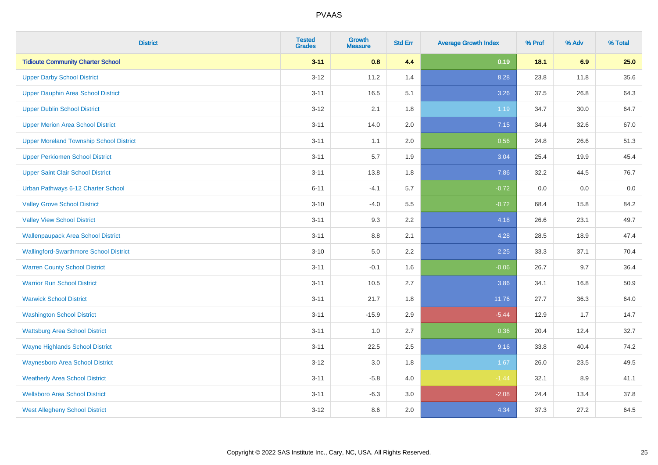| <b>District</b>                                | <b>Tested</b><br><b>Grades</b> | <b>Growth</b><br><b>Measure</b> | <b>Std Err</b> | <b>Average Growth Index</b> | % Prof | % Adv | % Total |
|------------------------------------------------|--------------------------------|---------------------------------|----------------|-----------------------------|--------|-------|---------|
| <b>Tidioute Community Charter School</b>       | $3 - 11$                       | 0.8                             | 4.4            | 0.19                        | 18.1   | 6.9   | 25.0    |
| <b>Upper Darby School District</b>             | $3 - 12$                       | 11.2                            | 1.4            | 8.28                        | 23.8   | 11.8  | 35.6    |
| <b>Upper Dauphin Area School District</b>      | $3 - 11$                       | 16.5                            | 5.1            | 3.26                        | 37.5   | 26.8  | 64.3    |
| <b>Upper Dublin School District</b>            | $3 - 12$                       | 2.1                             | 1.8            | 1.19                        | 34.7   | 30.0  | 64.7    |
| <b>Upper Merion Area School District</b>       | $3 - 11$                       | 14.0                            | 2.0            | 7.15                        | 34.4   | 32.6  | 67.0    |
| <b>Upper Moreland Township School District</b> | $3 - 11$                       | 1.1                             | 2.0            | 0.56                        | 24.8   | 26.6  | 51.3    |
| <b>Upper Perkiomen School District</b>         | $3 - 11$                       | 5.7                             | 1.9            | 3.04                        | 25.4   | 19.9  | 45.4    |
| <b>Upper Saint Clair School District</b>       | $3 - 11$                       | 13.8                            | 1.8            | 7.86                        | 32.2   | 44.5  | 76.7    |
| Urban Pathways 6-12 Charter School             | $6 - 11$                       | $-4.1$                          | 5.7            | $-0.72$                     | 0.0    | 0.0   | $0.0\,$ |
| <b>Valley Grove School District</b>            | $3 - 10$                       | $-4.0$                          | 5.5            | $-0.72$                     | 68.4   | 15.8  | 84.2    |
| <b>Valley View School District</b>             | $3 - 11$                       | 9.3                             | 2.2            | 4.18                        | 26.6   | 23.1  | 49.7    |
| <b>Wallenpaupack Area School District</b>      | $3 - 11$                       | 8.8                             | 2.1            | 4.28                        | 28.5   | 18.9  | 47.4    |
| <b>Wallingford-Swarthmore School District</b>  | $3 - 10$                       | $5.0\,$                         | 2.2            | 2.25                        | 33.3   | 37.1  | 70.4    |
| <b>Warren County School District</b>           | $3 - 11$                       | $-0.1$                          | 1.6            | $-0.06$                     | 26.7   | 9.7   | 36.4    |
| <b>Warrior Run School District</b>             | $3 - 11$                       | 10.5                            | 2.7            | 3.86                        | 34.1   | 16.8  | 50.9    |
| <b>Warwick School District</b>                 | $3 - 11$                       | 21.7                            | 1.8            | 11.76                       | 27.7   | 36.3  | 64.0    |
| <b>Washington School District</b>              | $3 - 11$                       | $-15.9$                         | 2.9            | $-5.44$                     | 12.9   | 1.7   | 14.7    |
| <b>Wattsburg Area School District</b>          | $3 - 11$                       | 1.0                             | 2.7            | 0.36                        | 20.4   | 12.4  | 32.7    |
| <b>Wayne Highlands School District</b>         | $3 - 11$                       | 22.5                            | 2.5            | 9.16                        | 33.8   | 40.4  | 74.2    |
| <b>Waynesboro Area School District</b>         | $3 - 12$                       | 3.0                             | 1.8            | 1.67                        | 26.0   | 23.5  | 49.5    |
| <b>Weatherly Area School District</b>          | $3 - 11$                       | $-5.8$                          | 4.0            | $-1.44$                     | 32.1   | 8.9   | 41.1    |
| <b>Wellsboro Area School District</b>          | $3 - 11$                       | $-6.3$                          | 3.0            | $-2.08$                     | 24.4   | 13.4  | 37.8    |
| <b>West Allegheny School District</b>          | $3 - 12$                       | 8.6                             | 2.0            | 4.34                        | 37.3   | 27.2  | 64.5    |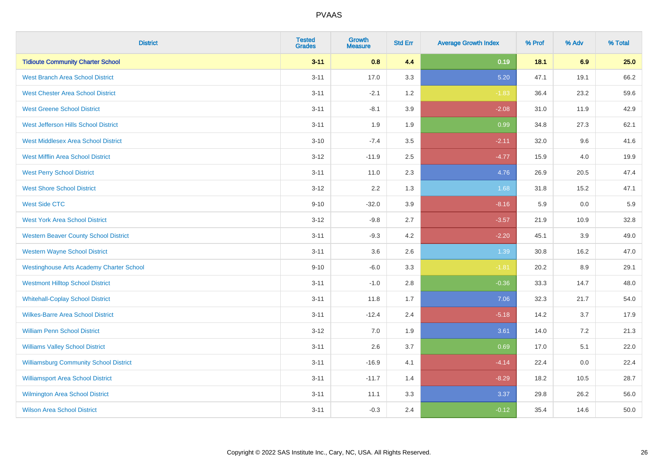| <b>District</b>                                 | <b>Tested</b><br><b>Grades</b> | <b>Growth</b><br><b>Measure</b> | <b>Std Err</b> | <b>Average Growth Index</b> | % Prof | % Adv | % Total |
|-------------------------------------------------|--------------------------------|---------------------------------|----------------|-----------------------------|--------|-------|---------|
| <b>Tidioute Community Charter School</b>        | $3 - 11$                       | 0.8                             | 4.4            | 0.19                        | 18.1   | 6.9   | 25.0    |
| <b>West Branch Area School District</b>         | $3 - 11$                       | 17.0                            | 3.3            | 5.20                        | 47.1   | 19.1  | 66.2    |
| <b>West Chester Area School District</b>        | $3 - 11$                       | $-2.1$                          | 1.2            | $-1.83$                     | 36.4   | 23.2  | 59.6    |
| <b>West Greene School District</b>              | $3 - 11$                       | $-8.1$                          | 3.9            | $-2.08$                     | 31.0   | 11.9  | 42.9    |
| West Jefferson Hills School District            | $3 - 11$                       | 1.9                             | 1.9            | 0.99                        | 34.8   | 27.3  | 62.1    |
| <b>West Middlesex Area School District</b>      | $3 - 10$                       | $-7.4$                          | 3.5            | $-2.11$                     | 32.0   | 9.6   | 41.6    |
| <b>West Mifflin Area School District</b>        | $3 - 12$                       | $-11.9$                         | 2.5            | $-4.77$                     | 15.9   | 4.0   | 19.9    |
| <b>West Perry School District</b>               | $3 - 11$                       | 11.0                            | 2.3            | 4.76                        | 26.9   | 20.5  | 47.4    |
| <b>West Shore School District</b>               | $3 - 12$                       | 2.2                             | 1.3            | 1.68                        | 31.8   | 15.2  | 47.1    |
| <b>West Side CTC</b>                            | $9 - 10$                       | $-32.0$                         | 3.9            | $-8.16$                     | 5.9    | 0.0   | 5.9     |
| <b>West York Area School District</b>           | $3 - 12$                       | $-9.8$                          | 2.7            | $-3.57$                     | 21.9   | 10.9  | 32.8    |
| <b>Western Beaver County School District</b>    | $3 - 11$                       | $-9.3$                          | 4.2            | $-2.20$                     | 45.1   | 3.9   | 49.0    |
| <b>Western Wayne School District</b>            | $3 - 11$                       | 3.6                             | 2.6            | 1.39                        | 30.8   | 16.2  | 47.0    |
| <b>Westinghouse Arts Academy Charter School</b> | $9 - 10$                       | $-6.0$                          | 3.3            | $-1.81$                     | 20.2   | 8.9   | 29.1    |
| <b>Westmont Hilltop School District</b>         | $3 - 11$                       | $-1.0$                          | 2.8            | $-0.36$                     | 33.3   | 14.7  | 48.0    |
| <b>Whitehall-Coplay School District</b>         | $3 - 11$                       | 11.8                            | 1.7            | 7.06                        | 32.3   | 21.7  | 54.0    |
| <b>Wilkes-Barre Area School District</b>        | $3 - 11$                       | $-12.4$                         | 2.4            | $-5.18$                     | 14.2   | 3.7   | 17.9    |
| <b>William Penn School District</b>             | $3 - 12$                       | 7.0                             | 1.9            | 3.61                        | 14.0   | 7.2   | 21.3    |
| <b>Williams Valley School District</b>          | $3 - 11$                       | 2.6                             | 3.7            | 0.69                        | 17.0   | 5.1   | 22.0    |
| <b>Williamsburg Community School District</b>   | $3 - 11$                       | $-16.9$                         | 4.1            | $-4.14$                     | 22.4   | 0.0   | 22.4    |
| <b>Williamsport Area School District</b>        | $3 - 11$                       | $-11.7$                         | 1.4            | $-8.29$                     | 18.2   | 10.5  | 28.7    |
| Wilmington Area School District                 | $3 - 11$                       | 11.1                            | 3.3            | 3.37                        | 29.8   | 26.2  | 56.0    |
| <b>Wilson Area School District</b>              | $3 - 11$                       | $-0.3$                          | 2.4            | $-0.12$                     | 35.4   | 14.6  | 50.0    |